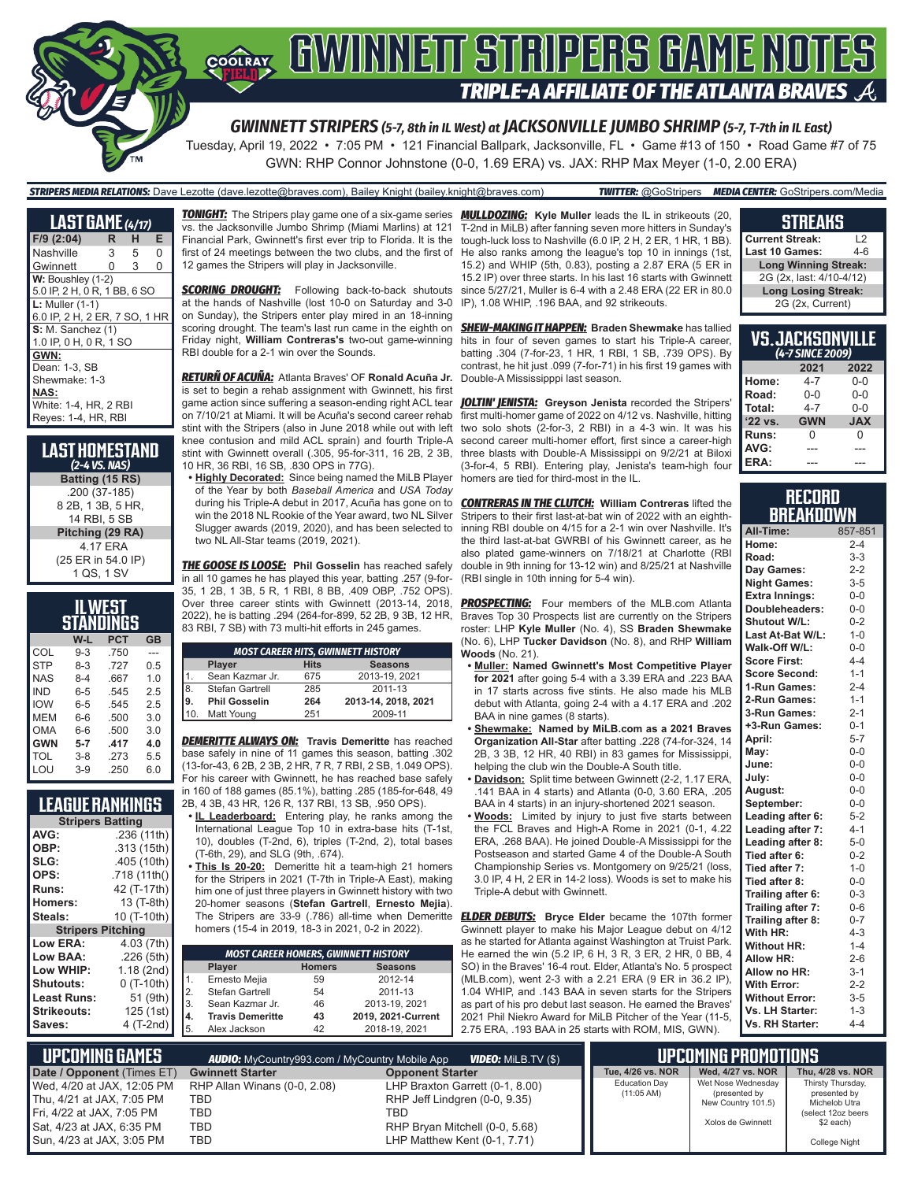

Tuesday, April 19, 2022 • 7:05 PM • 121 Financial Ballpark, Jacksonville, FL • Game #13 of 150 • Road Game #7 of 75 GWN: RHP Connor Johnstone (0-0, 1.69 ERA) vs. JAX: RHP Max Meyer (1-0, 2.00 ERA)

#### *STRIPERS MEDIA RELATIONS:* Dave Lezotte (dave.lezotte@braves.com), Bailey Knight (bailey.knight@braves.com) *TWITTER:* @GoStripers *MEDIA CENTER:* GoStripers.com/Media

**LAST GAME** *(4/17)* **F/9 (2:04) R H E** Nashville Gwinnett 0 3 0 **W: Boushley (1-2)** 5.0 IP, 2 H, 0 R, 1 BB, 6 SO **L:** Muller (1-1) 6.0 IP, 2 H, 2 ER, 7 SO, 1 HR **S: M. Sanchez (1)** 1.0 IP, 0 H, 0 R, 1 SO **GWN:** Dean: 1-3, SB Shewmake: 1-3 **NAS:** White: 1-4, HR, 2 RBI Reyes: 1-4, HR, RBI

**LAST HOMESTAND** *(2-4 VS. NAS)* **Batting (15 RS)** .200 (37-185) 8 2B, 1 3B, 5 HR, 14 RBI, 5 SB **Pitching (29 RA)** 4.17 ERA (25 ER in 54.0 IP) 1 QS, 1 SV

| ILWEST<br>STANDINGS |         |            |                |  |  |  |  |
|---------------------|---------|------------|----------------|--|--|--|--|
|                     | W-L     | <b>PCT</b> | <b>GB</b>      |  |  |  |  |
| COL                 | $9 - 3$ | .750       |                |  |  |  |  |
| <b>STP</b>          | 8-3     | .727       | 0.5            |  |  |  |  |
| <b>NAS</b>          | $8-4$   | .667       | 1 <sub>0</sub> |  |  |  |  |
| IND                 | $6 - 5$ | .545       | 25             |  |  |  |  |
| <b>IOW</b>          | $6 - 5$ | .545       | 2.5            |  |  |  |  |
| MFM                 | 6-6     | .500       | 3.0            |  |  |  |  |
| OMA                 | 6-6     | .500       | 3.0            |  |  |  |  |
| <b>GWN</b>          | $5 - 7$ | .417       | 4.0            |  |  |  |  |
| TOL                 | $3 - 8$ | .273       | 5.5            |  |  |  |  |
| I OU                | $3-9$   | 250        | 6.0            |  |  |  |  |

### **LEAGUE RANKINGS**

| <b>Stripers Batting</b>  |              |  |  |  |  |  |  |
|--------------------------|--------------|--|--|--|--|--|--|
| <b>AVG:</b>              | .236 (11th)  |  |  |  |  |  |  |
| OBP:                     | .313 (15th)  |  |  |  |  |  |  |
| SLG:                     | .405 (10th)  |  |  |  |  |  |  |
| OPS:                     | .718 (11th() |  |  |  |  |  |  |
| Runs:                    | 42 (T-17th)  |  |  |  |  |  |  |
| Homers:                  | 13 (T-8th)   |  |  |  |  |  |  |
| Steals:                  | 10 (T-10th)  |  |  |  |  |  |  |
| <b>Stripers Pitching</b> |              |  |  |  |  |  |  |
| Low ERA:                 | 4.03 (7th)   |  |  |  |  |  |  |
| Low BAA:                 | .226(5th)    |  |  |  |  |  |  |
|                          |              |  |  |  |  |  |  |
| Low WHIP:                | 1.18 (2nd)   |  |  |  |  |  |  |
| <b>Shutouts:</b>         | $0(T-10th)$  |  |  |  |  |  |  |
| <b>Least Runs:</b>       | 51 (9th)     |  |  |  |  |  |  |
| <b>Strikeouts:</b>       | 125 (1st)    |  |  |  |  |  |  |

vs. the Jacksonville Jumbo Shrimp (Miami Marlins) at 121 Financial Park, Gwinnett's first ever trip to Florida. It is the first of 24 meetings between the two clubs, and the first of 12 games the Stripers will play in Jacksonville.

**SCORING DROUGHT:** Following back-to-back shutouts at the hands of Nashville (lost 10-0 on Saturday and 3-0 on Sunday), the Stripers enter play mired in an 18-inning scoring drought. The team's last run came in the eighth on *SHEW-MAKING IT HAPPEN:* **Braden Shewmake** has tallied Friday night, **William Contreras's** two-out game-winning hits in four of seven games to start his Triple-A career, RBI double for a 2-1 win over the Sounds.

*RETURÑ OF ACUÑA:* Atlanta Braves' OF **Ronald Acuña Jr.** is set to begin a rehab assignment with Gwinnett, his first game action since suffering a season-ending right ACL tear on 7/10/21 at Miami. It will be Acuña's second career rehab stint with the Stripers (also in June 2018 while out with left knee contusion and mild ACL sprain) and fourth Triple-A stint with Gwinnett overall (.305, 95-for-311, 16 2B, 2 3B, 10 HR, 36 RBI, 16 SB, .830 OPS in 77G).

**• Highly Decorated:** Since being named the MiLB Player of the Year by both *Baseball America* and *USA Today* during his Triple-A debut in 2017, Acuña has gone on to win the 2018 NL Rookie of the Year award, two NL Silver Slugger awards (2019, 2020), and has been selected to two NL All-Star teams (2019, 2021).

*THE GOOSE IS LOOSE:* **Phil Gosselin** has reached safely in all 10 games he has played this year, batting .257 (9-for-35, 1 2B, 1 3B, 5 R, 1 RBI, 8 BB, .409 OBP, .752 OPS). Over three career stints with Gwinnett (2013-14, 2018, 2022), he is batting .294 (264-for-899, 52 2B, 9 3B, 12 HR, 83 RBI, 7 SB) with 73 multi-hit efforts in 245 games.

| <b>Hits</b><br><b>Seasons</b><br>Player<br>2013-19, 2021<br>Sean Kazmar Jr.<br>675<br>$\vert$ 8.<br>285<br>2011-13<br>Stefan Gartrell<br>19.<br><b>Phil Gosselin</b><br>264 | <b>MOST CAREER HITS, GWINNETT HISTORY</b> |            |     |                     |  |  |  |  |
|-----------------------------------------------------------------------------------------------------------------------------------------------------------------------------|-------------------------------------------|------------|-----|---------------------|--|--|--|--|
|                                                                                                                                                                             |                                           |            |     |                     |  |  |  |  |
|                                                                                                                                                                             |                                           |            |     |                     |  |  |  |  |
|                                                                                                                                                                             |                                           |            |     |                     |  |  |  |  |
|                                                                                                                                                                             |                                           |            |     | 2013-14, 2018, 2021 |  |  |  |  |
|                                                                                                                                                                             |                                           | Matt Young | 251 | 2009-11             |  |  |  |  |

*DEMERITTE ALWAYS ON:* **Travis Demeritte** has reached base safely in nine of 11 games this season, batting .302 (13-for-43, 6 2B, 2 3B, 2 HR, 7 R, 7 RBI, 2 SB, 1.049 OPS). For his career with Gwinnett, he has reached base safely

in 160 of 188 games (85.1%), batting .285 (185-for-648, 49 2B, 4 3B, 43 HR, 126 R, 137 RBI, 13 SB, .950 OPS).

- **• IL Leaderboard:** Entering play, he ranks among the International League Top 10 in extra-base hits (T-1st, 10), doubles (T-2nd, 6), triples (T-2nd, 2), total bases (T-6th, 29), and SLG (9th, .674).
- **• This Is 20-20:** Demeritte hit a team-high 21 homers for the Stripers in 2021 (T-7th in Triple-A East), making him one of just three players in Gwinnett history with two 20-homer seasons (**Stefan Gartrell**, **Ernesto Mejia**). The Stripers are 33-9 (.786) all-time when Demeritte homers (15-4 in 2019, 18-3 in 2021, 0-2 in 2022).

| <b>MOST CAREER HOMERS, GWINNETT HISTORY</b>         |                                           |    |                    |  |  |  |  |  |  |  |
|-----------------------------------------------------|-------------------------------------------|----|--------------------|--|--|--|--|--|--|--|
|                                                     | <b>Seasons</b><br><b>Homers</b><br>Player |    |                    |  |  |  |  |  |  |  |
|                                                     | Ernesto Mejia                             | 59 | 2012-14            |  |  |  |  |  |  |  |
|                                                     | Stefan Gartrell                           | 54 | 2011-13            |  |  |  |  |  |  |  |
|                                                     | Sean Kazmar Jr.                           | 46 | 2013-19, 2021      |  |  |  |  |  |  |  |
| $\begin{array}{c} 2. \\ 3. \\ 4. \\ 5. \end{array}$ | <b>Travis Demeritte</b>                   | 43 | 2019, 2021-Current |  |  |  |  |  |  |  |
|                                                     | Alex Jackson                              | 42 | 2018-19, 2021      |  |  |  |  |  |  |  |

*TONIGHT:* The Stripers play game one of a six-game series *MULLDOZING:* **Kyle Muller** leads the IL in strikeouts (20, T-2nd in MiLB) after fanning seven more hitters in Sunday's tough-luck loss to Nashville (6.0 IP, 2 H, 2 ER, 1 HR, 1 BB). He also ranks among the league's top 10 in innings (1st, 15.2) and WHIP (5th, 0.83), posting a 2.87 ERA (5 ER in 15.2 IP) over three starts. In his last 16 starts with Gwinnett since 5/27/21, Muller is 6-4 with a 2.48 ERA (22 ER in 80.0 IP), 1.08 WHIP, .196 BAA, and 92 strikeouts.

> batting .304 (7-for-23, 1 HR, 1 RBI, 1 SB, .739 OPS). By contrast, he hit just .099 (7-for-71) in his first 19 games with Double-A Mississipppi last season.

> *JOLTIN' JENISTA:* **Greyson Jenista** recorded the Stripers' first multi-homer game of 2022 on 4/12 vs. Nashville, hitting two solo shots (2-for-3, 2 RBI) in a 4-3 win. It was his second career multi-homer effort, first since a career-high three blasts with Double-A Mississippi on 9/2/21 at Biloxi (3-for-4, 5 RBI). Entering play, Jenista's team-high four homers are tied for third-most in the IL.

> *CONTRERAS IN THE CLUTCH:* **William Contreras** lifted the Stripers to their first last-at-bat win of 2022 with an eighthinning RBI double on 4/15 for a 2-1 win over Nashville. It's the third last-at-bat GWRBI of his Gwinnett career, as he also plated game-winners on 7/18/21 at Charlotte (RBI double in 9th inning for 13-12 win) and 8/25/21 at Nashville (RBI single in 10th inning for 5-4 win).

> **PROSPECTING:** Four members of the MLB.com Atlanta Braves Top 30 Prospects list are currently on the Stripers roster: LHP **Kyle Muller** (No. 4), SS **Braden Shewmake**  (No. 6), LHP **Tucker Davidson** (No. 8), and RHP **William Woods** (No. 21).

- **• Muller: Named Gwinnett's Most Competitive Player for 2021** after going 5-4 with a 3.39 ERA and .223 BAA in 17 starts across five stints. He also made his MLB debut with Atlanta, going 2-4 with a 4.17 ERA and .202 BAA in nine games (8 starts).
- **• Shewmake: Named by MiLB.com as a 2021 Braves Organization All-Star** after batting .228 (74-for-324, 14 2B, 3 3B, 12 HR, 40 RBI) in 83 games for Mississippi, helping the club win the Double-A South title.
- **• Davidson:** Split time between Gwinnett (2-2, 1.17 ERA, .141 BAA in 4 starts) and Atlanta (0-0, 3.60 ERA, .205 BAA in 4 starts) in an injury-shortened 2021 season.
- **• Woods:** Limited by injury to just five starts between the FCL Braves and High-A Rome in 2021 (0-1, 4.22 ERA, .268 BAA). He joined Double-A Mississippi for the Postseason and started Game 4 of the Double-A South Championship Series vs. Montgomery on 9/25/21 (loss, 3.0 IP, 4 H, 2 ER in 14-2 loss). Woods is set to make his Triple-A debut with Gwinnett.

*ELDER DEBUTS:* **Bryce Elder** became the 107th former Gwinnett player to make his Major League debut on 4/12 as he started for Atlanta against Washington at Truist Park. He earned the win (5.2 IP, 6 H, 3 R, 3 ER, 2 HR, 0 BB, 4 SO) in the Braves' 16-4 rout. Elder, Atlanta's No. 5 prospect (MLB.com), went 2-3 with a 2.21 ERA (9 ER in 36.2 IP), 1.04 WHIP, and .143 BAA in seven starts for the Stripers as part of his pro debut last season. He earned the Braves' 2021 Phil Niekro Award for MiLB Pitcher of the Year (11-5, 2.75 ERA, .193 BAA in 25 starts with ROM, MIS, GWN).

#### **STREAKS**

| <b>Current Streak:</b><br>12 |       |  |  |  |  |
|------------------------------|-------|--|--|--|--|
| Last 10 Games:               | $4-6$ |  |  |  |  |
| <b>Long Winning Streak:</b>  |       |  |  |  |  |
| 2G (2x, last: 4/10-4/12)     |       |  |  |  |  |
| <b>Long Losing Streak:</b>   |       |  |  |  |  |
| 2G (2x, Current)             |       |  |  |  |  |

| <b>VS.JACKSONVILLE</b><br>(4-7 SINCE 2009) |            |            |  |  |  |  |  |
|--------------------------------------------|------------|------------|--|--|--|--|--|
| 2021<br>2022                               |            |            |  |  |  |  |  |
| Home:                                      | $4 - 7$    | 0-0        |  |  |  |  |  |
| Road:                                      | $0 - 0$    | $0 - 0$    |  |  |  |  |  |
| Total:                                     | $4 - 7$    | $0 - 0$    |  |  |  |  |  |
| '22 vs.                                    | <b>GWN</b> | <b>XAL</b> |  |  |  |  |  |
| Runs:                                      | 0          | N          |  |  |  |  |  |
| AVG:                                       |            |            |  |  |  |  |  |
| ERA:                                       |            |            |  |  |  |  |  |

#### **RECORD RRFAKNOWN**

| All-Time:             | 857-851 |
|-----------------------|---------|
| Home:                 | $2 - 4$ |
| Road:                 | $3 - 3$ |
| Day Games:            | $2 - 2$ |
| <b>Night Games:</b>   | $3-5$   |
| <b>Extra Innings:</b> | $0-0$   |
| Doubleheaders:        | $0-0$   |
| <b>Shutout W/L:</b>   | $0 - 2$ |
| Last At-Bat W/L:      | $1 - 0$ |
| Walk-Off W/L:         | $0-0$   |
| <b>Score First:</b>   | $4 - 4$ |
| <b>Score Second:</b>  | $1 - 1$ |
| 1-Run Games:          | $2 - 4$ |
| 2-Run Games:          | $1 - 1$ |
| 3-Run Games:          | $2 - 1$ |
| +3-Run Games:         | $0 - 1$ |
| April:                | $5 - 7$ |
| Mav:                  | $0-0$   |
| June:                 | $0-0$   |
| July:                 | $0-0$   |
| August:               | $0-0$   |
| September:            | $0-0$   |
| Leading after 6:      | $5-2$   |
| Leading after 7:      | $4 - 1$ |
| Leading after 8:      | $5-0$   |
| Tied after 6:         | $0 - 2$ |
| Tied after 7:         | $1 - 0$ |
| Tied after 8:         | $0-0$   |
| Trailing after 6:     | $0 - 3$ |
| Trailing after 7:     | $0 - 6$ |
| Trailing after 8:     | $0 - 7$ |
| With HR:              | $4 - 3$ |
| <b>Without HR:</b>    | $1 - 4$ |
| <b>Allow HR:</b>      | $2 - 6$ |
| Allow no HR:          | $3 - 1$ |
| <b>With Error:</b>    | $2 - 2$ |
| <b>Without Error:</b> | $3 - 5$ |
| Vs. LH Starter:       | $1 - 3$ |
| Vs. RH Starter:       | $4 - 4$ |

| <b>UPCOMING GAMES</b>                                                                                                                          | <b>AUDIO:</b> MyCountry993.com / MyCountry Mobile App<br><b>VIDEO:</b> Milb.TV (\$) |                                                                                                                                           |                                              | <b>LUPCOMING PROMOTIONS !</b>                                                  |                                                                                                        |
|------------------------------------------------------------------------------------------------------------------------------------------------|-------------------------------------------------------------------------------------|-------------------------------------------------------------------------------------------------------------------------------------------|----------------------------------------------|--------------------------------------------------------------------------------|--------------------------------------------------------------------------------------------------------|
| Date / Opponent (Times ET)                                                                                                                     | <b>Gwinnett Starter</b>                                                             | <b>Opponent Starter</b>                                                                                                                   | Tue, 4/26 vs. NOR                            | Wed, 4/27 vs. NOR                                                              | Thu, 4/28 vs. NOR                                                                                      |
| Wed, 4/20 at JAX, 12:05 PM<br>Thu, 4/21 at JAX, 7:05 PM<br>Fri, 4/22 at JAX, 7:05 PM<br>Sat, 4/23 at JAX, 6:35 PM<br>Sun, 4/23 at JAX, 3:05 PM | RHP Allan Winans (0-0, 2.08)<br><b>TBD</b><br>TBD<br>TBD<br>TBD                     | LHP Braxton Garrett (0-1, 8.00)<br>RHP Jeff Lindgren (0-0, 9.35)<br>TBD<br>RHP Bryan Mitchell (0-0, 5.68)<br>LHP Matthew Kent (0-1, 7.71) | <b>Education Day</b><br>$(11:05 \text{ AM})$ | Wet Nose Wednesday<br>(presented by<br>New Country 101.5)<br>Xolos de Gwinnett | Thirsty Thursday,<br>presented by<br>Michelob Utra<br>(select 12oz beers<br>\$2 each)<br>College Night |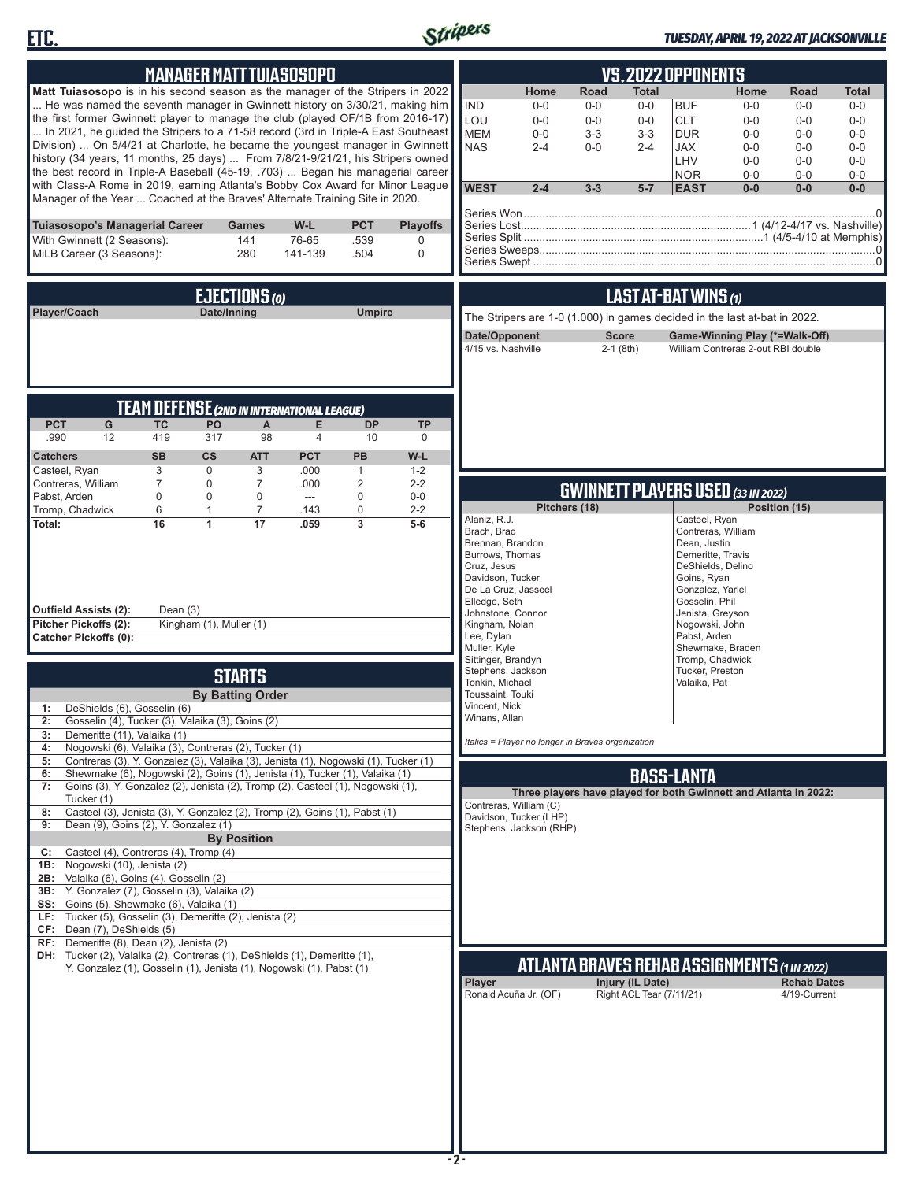



### *TUESDAY, APRIL 19, 2022 AT JACKSONVILLE*

| <b>MANAGER MATT TUIASOSOPO</b>                                                                                                                                                                                                                                                                                                                                                                                                                                                                                                                                                                                                                                                                                                                                                                                                                                                                                                                                       | <b>VS. 2022 OPPONENTS</b>                                                                                                                                                                                                                                                                                                                                                                                                                                                                                                                                                     |  |  |  |  |
|----------------------------------------------------------------------------------------------------------------------------------------------------------------------------------------------------------------------------------------------------------------------------------------------------------------------------------------------------------------------------------------------------------------------------------------------------------------------------------------------------------------------------------------------------------------------------------------------------------------------------------------------------------------------------------------------------------------------------------------------------------------------------------------------------------------------------------------------------------------------------------------------------------------------------------------------------------------------|-------------------------------------------------------------------------------------------------------------------------------------------------------------------------------------------------------------------------------------------------------------------------------------------------------------------------------------------------------------------------------------------------------------------------------------------------------------------------------------------------------------------------------------------------------------------------------|--|--|--|--|
| Matt Tuiasosopo is in his second season as the manager of the Stripers in 2022<br>He was named the seventh manager in Gwinnett history on 3/30/21, making him<br>the first former Gwinnett player to manage the club (played OF/1B from 2016-17)<br>In 2021, he guided the Stripers to a 71-58 record (3rd in Triple-A East Southeast<br>Division)  On 5/4/21 at Charlotte, he became the youngest manager in Gwinnett<br>history (34 years, 11 months, 25 days)  From 7/8/21-9/21/21, his Stripers owned<br>the best record in Triple-A Baseball (45-19, .703)  Began his managerial career<br>with Class-A Rome in 2019, earning Atlanta's Bobby Cox Award for Minor League<br>Manager of the Year  Coached at the Braves' Alternate Training Site in 2020.                                                                                                                                                                                                        | <b>Road</b><br>Home<br>Total<br>Home<br>Road<br>Total<br><b>IND</b><br><b>BUF</b><br>$0-0$<br>$0-0$<br>$0-0$<br>$0-0$<br>$0-0$<br>$0-0$<br>LOU<br><b>CLT</b><br>$0-0$<br>$0-0$<br>$0-0$<br>$0 - 0$<br>$0-0$<br>$0-0$<br><b>MEM</b><br>$3 - 3$<br>$3 - 3$<br><b>DUR</b><br>$0-0$<br>$0 - 0$<br>$0-0$<br>$0-0$<br><b>NAS</b><br>$2 - 4$<br>$0-0$<br><b>JAX</b><br>$0 - 0$<br>$2 - 4$<br>$0 - 0$<br>$0-0$<br>LHV<br>$0-0$<br>$0 - 0$<br>$0-0$<br><b>NOR</b><br>$0-0$<br>$0-0$<br>$0-0$<br><b>WEST</b><br>$2 - 4$<br>$3 - 3$<br>$5 - 7$<br><b>EAST</b><br>$0-0$<br>$0-0$<br>$0-0$ |  |  |  |  |
| <b>PCT</b><br>Tuiasosopo's Managerial Career<br>W-L<br><b>Playoffs</b><br>Games<br>With Gwinnett (2 Seasons):<br>141<br>76-65<br>.539<br>0<br>MiLB Career (3 Seasons):<br>280<br>141-139<br>.504<br>0                                                                                                                                                                                                                                                                                                                                                                                                                                                                                                                                                                                                                                                                                                                                                                |                                                                                                                                                                                                                                                                                                                                                                                                                                                                                                                                                                               |  |  |  |  |
| EJECTIONS (0)<br>Player/Coach<br>Date/Inning<br><b>Umpire</b>                                                                                                                                                                                                                                                                                                                                                                                                                                                                                                                                                                                                                                                                                                                                                                                                                                                                                                        | LAST AT-BAT WINS (1)<br>The Stripers are 1-0 (1.000) in games decided in the last at-bat in 2022.<br>Date/Opponent<br><b>Score</b><br>Game-Winning Play (*=Walk-Off)<br>4/15 vs. Nashville<br>$2-1$ (8th)<br>William Contreras 2-out RBI double                                                                                                                                                                                                                                                                                                                               |  |  |  |  |
| <b>TEAM DEFENSE (2ND IN INTERNATIONAL LEAGUE)</b><br><b>PCT</b><br><b>TC</b><br>PO<br>E<br><b>TP</b><br>G<br>A<br><b>DP</b><br>419<br>.990<br>12<br>317<br>98<br>$\overline{4}$<br>10<br>$\mathbf 0$<br><b>SB</b><br><b>PB</b><br><b>CS</b><br><b>ATT</b><br><b>PCT</b><br>W-L<br><b>Catchers</b><br>Casteel, Ryan<br>3<br>$\mathbf 0$<br>3<br>.000<br>$1 - 2$<br>$\mathbf{1}$                                                                                                                                                                                                                                                                                                                                                                                                                                                                                                                                                                                       |                                                                                                                                                                                                                                                                                                                                                                                                                                                                                                                                                                               |  |  |  |  |
| Contreras, William<br>$\overline{7}$<br>$\mathbf 0$<br>.000<br>$\overline{2}$<br>$2 - 2$<br>7<br>Pabst, Arden<br>$\mathbf 0$<br>$\Omega$<br>0<br>0<br>$0-0$<br>$---$<br>Tromp, Chadwick<br>6<br>$\overline{7}$<br>0<br>$2 - 2$<br>$\mathbf{1}$<br>.143<br>$\overline{\mathbf{3}}$<br>16<br>17<br>$5-6$<br>Total:<br>1<br>.059<br>Dean $(3)$<br><b>Outfield Assists (2):</b><br>Pitcher Pickoffs (2):<br>Kingham (1), Muller (1)<br><b>Catcher Pickoffs (0):</b>                                                                                                                                                                                                                                                                                                                                                                                                                                                                                                      | <b>GWINNETT PLAYERS USED (33 IN 2022)</b><br>Pitchers (18)<br>Position (15)<br>Alaniz, R.J.<br>Casteel, Ryan<br>Contreras, William<br>Brach, Brad<br>Dean, Justin<br>Brennan, Brandon<br>Burrows, Thomas<br>Demeritte, Travis<br>Cruz, Jesus<br>DeShields, Delino<br>Davidson, Tucker<br>Goins, Ryan<br>De La Cruz, Jasseel<br>Gonzalez, Yariel<br>Elledge, Seth<br>Gosselin, Phil<br>Johnstone, Connor<br>Jenista, Greyson<br>Kingham, Nolan<br>Nogowski, John<br>Lee, Dylan<br>Pabst, Arden<br>Muller, Kyle<br>Shewmake, Braden                                             |  |  |  |  |
| <b>STARTS</b><br><b>By Batting Order</b><br>DeShields (6), Gosselin (6)<br>1:<br>2: Gosselin (4), Tucker (3), Valaika (3), Goins (2)<br>Demeritte (11), Valaika (1)<br>3:<br>Nogowski (6), Valaika (3), Contreras (2), Tucker (1)<br>4:                                                                                                                                                                                                                                                                                                                                                                                                                                                                                                                                                                                                                                                                                                                              | Sittinger, Brandyn<br>Tromp, Chadwick<br>Stephens, Jackson<br>Tucker, Preston<br>Tonkin, Michael<br>Valaika, Pat<br>Toussaint, Touki<br>Vincent, Nick<br>Winans, Allan<br>Italics = Player no longer in Braves organization                                                                                                                                                                                                                                                                                                                                                   |  |  |  |  |
| Contreras (3), Y. Gonzalez (3), Valaika (3), Jenista (1), Nogowski (1), Tucker (1)<br>5:<br>Shewmake (6), Nogowski (2), Goins (1), Jenista (1), Tucker (1), Valaika (1)<br>6:<br>Goins (3), Y. Gonzalez (2), Jenista (2), Tromp (2), Casteel (1), Nogowski (1),<br>7:<br>Tucker (1)<br>Casteel (3), Jenista (3), Y. Gonzalez (2), Tromp (2), Goins (1), Pabst (1)<br>8:<br>Dean (9), Goins (2), Y. Gonzalez (1)<br>9:<br><b>By Position</b><br>Casteel (4), Contreras (4), Tromp (4)<br>C:<br>1B: Nogowski (10), Jenista (2)<br>2B: Valaika (6), Goins (4), Gosselin (2)<br>3B: Y. Gonzalez (7), Gosselin (3), Valaika (2)<br>SS: Goins (5), Shewmake (6), Valaika (1)<br>Tucker (5), Gosselin (3), Demeritte (2), Jenista (2)<br>LF:<br>CF: Dean (7), DeShields (5)<br>RF: Demeritte (8), Dean (2), Jenista (2)<br>DH: Tucker (2), Valaika (2), Contreras (1), DeShields (1), Demeritte (1),<br>Y. Gonzalez (1), Gosselin (1), Jenista (1), Nogowski (1), Pabst (1) | <b>BASS-LANTA</b><br>Three players have played for both Gwinnett and Atlanta in 2022:<br>Contreras, William (C)<br>Davidson, Tucker (LHP)<br>Stephens, Jackson (RHP)<br>ATLANTA BRAVES REHAB ASSIGNMENTS (1 in 2022)<br>Player<br>Injury (IL Date)<br><b>Rehab Dates</b><br>Right ACL Tear (7/11/21)<br>Ronald Acuña Jr. (OF)<br>4/19-Current                                                                                                                                                                                                                                 |  |  |  |  |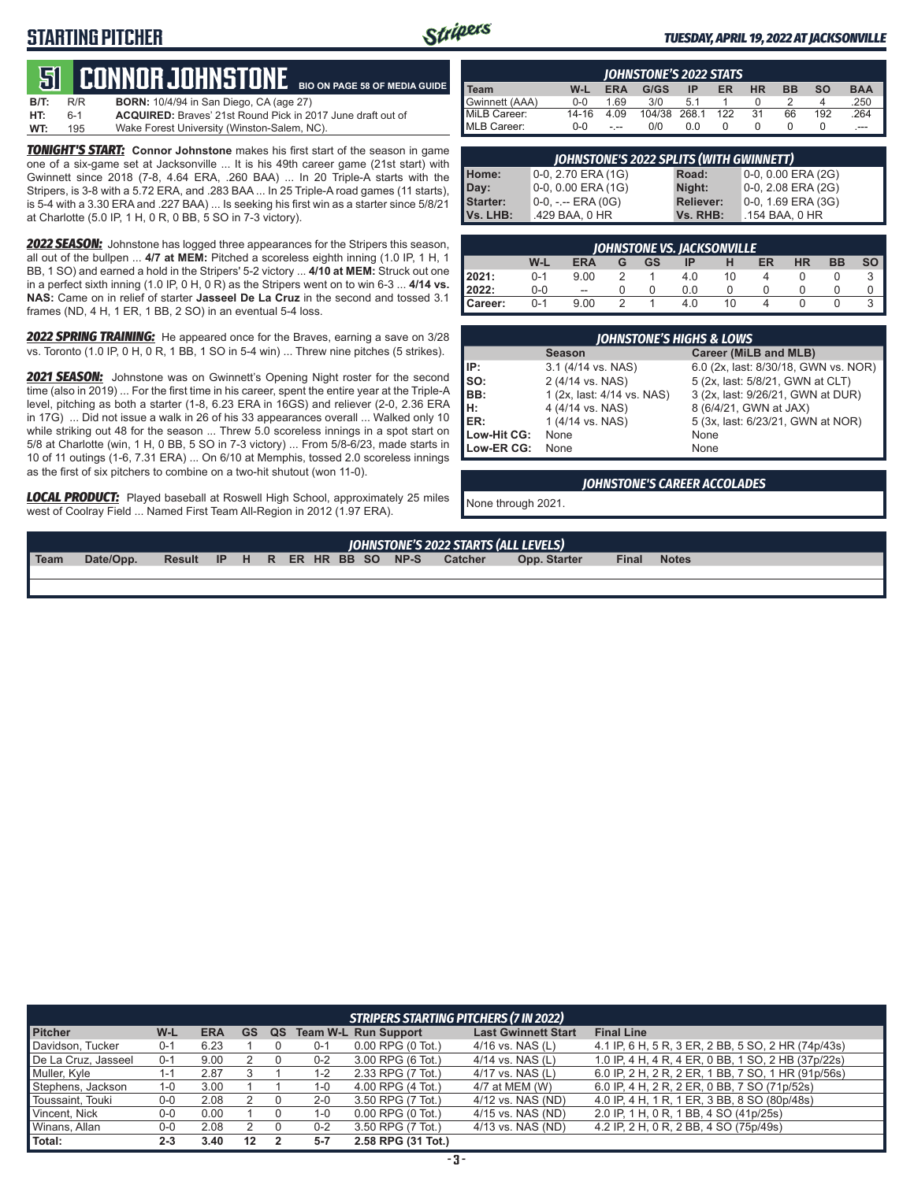## **STARTING PITCHER**



#### *TUESDAY, APRIL 19, 2022 AT JACKSONVILLE*

**51****CONNOR Johnstone B/T:** R/R **BORN:** 10/4/94 in San Diego, CA (age 27) **BIO ON PAGE 58 OF MEDIA GUIDE**

| WT: | - 195 | Wake Forest University (Winston-Salem, NC).                        |
|-----|-------|--------------------------------------------------------------------|
| HT: |       | <b>ACQUIRED:</b> Braves' 21st Round Pick in 2017 June draft out of |
|     |       |                                                                    |

**TONIGHT'S START:** Connor Johnstone makes his first start of the season in game one of a six-game set at Jacksonville ... It is his 49th career game (21st start) with Gwinnett since 2018 (7-8, 4.64 ERA, .260 BAA) ... In 20 Triple-A starts with the Stripers, is 3-8 with a 5.72 ERA, and .283 BAA ... In 25 Triple-A road games (11 starts), is 5-4 with a 3.30 ERA and .227 BAA) ... Is seeking his first win as a starter since 5/8/21 at Charlotte (5.0 IP, 1 H, 0 R, 0 BB, 5 SO in 7-3 victory).

*2022 SEASON:* Johnstone has logged three appearances for the Stripers this season, all out of the bullpen ... **4/7 at MEM:** Pitched a scoreless eighth inning (1.0 IP, 1 H, 1 BB, 1 SO) and earned a hold in the Stripers' 5-2 victory ... **4/10 at MEM:** Struck out one in a perfect sixth inning (1.0 IP, 0 H, 0 R) as the Stripers went on to win 6-3 ... **4/14 vs. NAS:** Came on in relief of starter **Jasseel De La Cruz** in the second and tossed 3.1 frames (ND, 4 H, 1 ER, 1 BB, 2 SO) in an eventual 5-4 loss.

*2022 SPRING TRAINING:* He appeared once for the Braves, earning a save on 3/28 vs. Toronto (1.0 IP, 0 H, 0 R, 1 BB, 1 SO in 5-4 win) ... Threw nine pitches (5 strikes).

*2021 SEASON:* Johnstone was on Gwinnett's Opening Night roster for the second time (also in 2019) ... For the first time in his career, spent the entire year at the Triple-A level, pitching as both a starter (1-8, 6.23 ERA in 16GS) and reliever (2-0, 2.36 ERA in 17G) ... Did not issue a walk in 26 of his 33 appearances overall ... Walked only 10 while striking out 48 for the season ... Threw 5.0 scoreless innings in a spot start on 5/8 at Charlotte (win, 1 H, 0 BB, 5 SO in 7-3 victory) ... From 5/8-6/23, made starts in 10 of 11 outings (1-6, 7.31 ERA) ... On 6/10 at Memphis, tossed 2.0 scoreless innings as the first of six pitchers to combine on a two-hit shutout (won 11-0).

*LOCAL PRODUCT:* Played baseball at Roswell High School, approximately 25 miles west of Coolray Field ... Named First Team All-Region in 2012 (1.97 ERA).

| <b>IOHNSTONE'S 2022 STATS</b> |         |            |        |       |     |           |           |           |            |
|-------------------------------|---------|------------|--------|-------|-----|-----------|-----------|-----------|------------|
| Team                          | W-L     | <b>ERA</b> | G/GS   | ΙP    | ER  | <b>HR</b> | <b>BB</b> | <b>SO</b> | <b>BAA</b> |
| Gwinnett (AAA)                | $0 - 0$ | 1.69       | 3/0    | 5.1   |     |           |           |           | .250       |
| MiLB Career:                  | 14-16   | 4.09       | 104/38 | 268.1 | 122 | 31        | 66        | 192       | .264       |
| MLB Career:                   | $0 - 0$ |            | 0/0    | 0.0   |     |           |           |           | $---$      |

| JOHNSTONE'S 2022 SPLITS (WITH GWINNETT) |                       |                  |                       |  |  |  |  |  |
|-----------------------------------------|-----------------------|------------------|-----------------------|--|--|--|--|--|
| Home:                                   | 0-0, 2.70 ERA (1G)    | Road:            | 0-0, 0.00 ERA (2G)    |  |  |  |  |  |
| Day:                                    | 0-0, 0.00 ERA (1G)    | Night:           | $0-0, 2.08$ ERA (2G)  |  |  |  |  |  |
| <b>Starter:</b>                         | $0-0, - -$ ERA $(0G)$ | <b>Reliever:</b> | $0-0$ , 1.69 ERA (3G) |  |  |  |  |  |
| Vs. LHB:                                | .429 BAA, 0 HR        | Vs. RHB:         | .154 BAA, 0 HR        |  |  |  |  |  |

| <b>JOHNSTONE VS. JACKSONVILLE</b> |         |                          |   |    |     |    |    |           |           |           |
|-----------------------------------|---------|--------------------------|---|----|-----|----|----|-----------|-----------|-----------|
|                                   | W-L     | <b>ERA</b>               | G | GS | ΙP  |    | ER | <b>HR</b> | <b>BB</b> | <b>SO</b> |
| 2021:                             | $0 - 1$ | 9.00                     |   |    | 4.0 | 10 |    |           |           |           |
| 2022:                             | 0-0     | $\overline{\phantom{a}}$ |   |    | 0.0 |    |    |           |           |           |
| Career:                           | $0 - 1$ | 9.00                     |   |    | 4.0 | 10 |    |           |           |           |

| <b>JOHNSTONE'S HIGHS &amp; LOWS</b> |                            |                                      |  |  |  |  |
|-------------------------------------|----------------------------|--------------------------------------|--|--|--|--|
|                                     | <b>Season</b>              | Career (MiLB and MLB)                |  |  |  |  |
| IIP:                                | 3.1 (4/14 vs. NAS)         | 6.0 (2x, last: 8/30/18, GWN vs. NOR) |  |  |  |  |
| $\vert$ so:                         | 2 (4/14 vs. NAS)           | 5 (2x, last: 5/8/21, GWN at CLT)     |  |  |  |  |
| BB:                                 | 1 (2x, last: 4/14 vs. NAS) | 3 (2x, last: 9/26/21, GWN at DUR)    |  |  |  |  |
| H:<br>ER:                           | 4 (4/14 vs. NAS)           | 8 (6/4/21, GWN at JAX)               |  |  |  |  |
|                                     | 1 (4/14 vs. NAS)           | 5 (3x, last: 6/23/21, GWN at NOR)    |  |  |  |  |
| Low-Hit CG:                         | None                       | None                                 |  |  |  |  |
| Low-ER CG:                          | None                       | None                                 |  |  |  |  |

#### *JOHNSTONE'S CAREER ACCOLADES*

None through 2021.

| JOHNSTONE'S 2022 STARTS (ALL LEVELS) |           |                                |  |  |  |  |  |  |  |                |                     |              |              |
|--------------------------------------|-----------|--------------------------------|--|--|--|--|--|--|--|----------------|---------------------|--------------|--------------|
| Team                                 | Date/Opp. | Result IP H R ER HR BB SO NP-S |  |  |  |  |  |  |  | <b>Catcher</b> | <b>Opp. Starter</b> | <b>Final</b> | <b>Notes</b> |
|                                      |           |                                |  |  |  |  |  |  |  |                |                     |              |              |

| <b>STRIPERS STARTING PITCHERS (7 IN 2022)</b> |         |            |    |    |         |                               |                            |                                                    |
|-----------------------------------------------|---------|------------|----|----|---------|-------------------------------|----------------------------|----------------------------------------------------|
| <b>Pitcher</b>                                | W-L     | <b>ERA</b> | GS | QS |         | <b>Team W-L Run Support</b>   | <b>Last Gwinnett Start</b> | <b>Final Line</b>                                  |
| Davidson. Tucker                              | $0 - 1$ | 6.23       |    |    | $0 - 1$ | $0.00$ RPG $(0 \text{ Tot.})$ | $4/16$ vs. NAS (L)         | 4.1 IP, 6 H, 5 R, 3 ER, 2 BB, 5 SO, 2 HR (74p/43s) |
| De La Cruz, Jasseel                           | $0 - 1$ | 9.00       |    |    | $0 - 2$ | 3.00 RPG (6 Tot.)             | $4/14$ vs. NAS (L)         | 1.0 IP, 4 H, 4 R, 4 ER, 0 BB, 1 SO, 2 HB (37p/22s) |
| Muller, Kyle                                  | l-1     | 2.87       |    |    | 1-2     | 2.33 RPG (7 Tot.)             | 4/17 vs. NAS (L)           | 6.0 IP, 2 H, 2 R, 2 ER, 1 BB, 7 SO, 1 HR (91p/56s) |
| Stephens, Jackson                             | $1 - 0$ | 3.00       |    |    | 1-0     | 4.00 RPG (4 Tot.)             | 4/7 at MEM (W)             | 6.0 IP, 4 H, 2 R, 2 ER, 0 BB, 7 SO (71p/52s)       |
| Toussaint, Touki                              | $0-0$   | 2.08       |    |    | $2 - 0$ | 3.50 RPG (7 Tot.)             | 4/12 vs. NAS (ND)          | 4.0 IP, 4 H, 1 R, 1 ER, 3 BB, 8 SO (80p/48s)       |
| Vincent, Nick                                 | $0 - 0$ | 0.00       |    |    | 1-0     | $0.00$ RPG $(0)$ Tot.)        | 4/15 vs. NAS (ND)          | 2.0 IP, 1 H, 0 R, 1 BB, 4 SO (41p/25s)             |
| Winans, Allan                                 | $0-0$   | 2.08       |    |    | $0 - 2$ | 3.50 RPG (7 Tot.)             | 4/13 vs. NAS (ND)          | 4.2 IP, 2 H, 0 R, 2 BB, 4 SO (75p/49s)             |
| Total:                                        | $2 - 3$ | 3.40       | 12 |    | $5 - 7$ | 2.58 RPG (31 Tot.)            |                            |                                                    |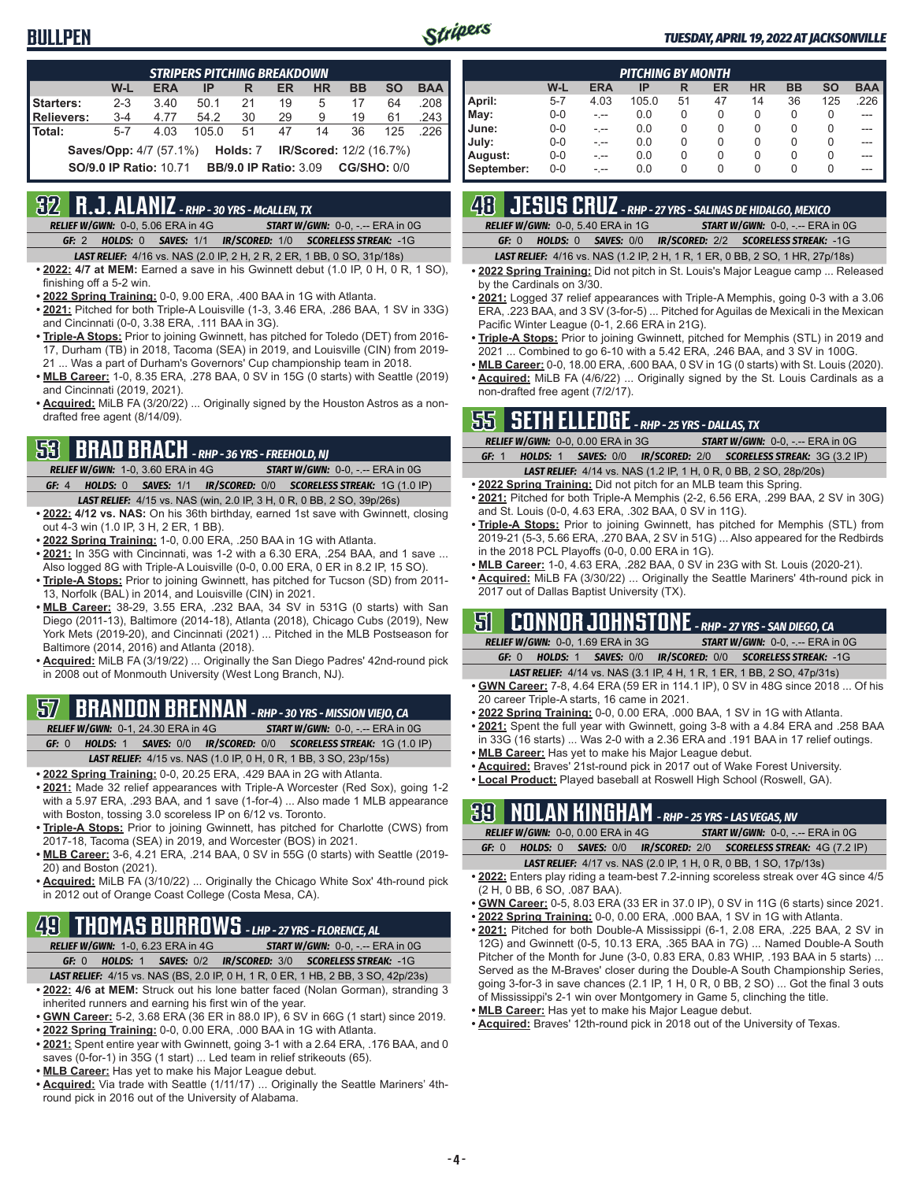

#### *TUESDAY, APRIL 19, 2022 AT JACKSONVILLE*

| <b>STRIPERS PITCHING BREAKDOWN</b>                                          |                                                                           |            |       |    |    |    |           |           |            |
|-----------------------------------------------------------------------------|---------------------------------------------------------------------------|------------|-------|----|----|----|-----------|-----------|------------|
|                                                                             | W-L                                                                       | <b>ERA</b> | IP    | R  | ER | HR | <b>BB</b> | <b>SO</b> | <b>BAA</b> |
| Starters:                                                                   | $2 - 3$                                                                   | 3.40       | 50.1  | 21 | 19 | 5  | 17        | 64        | .208       |
| Relievers:                                                                  | $3 - 4$                                                                   | 4.77       | 54.2  | 30 | 29 | 9  | 19        | 61        | .243       |
| Total:                                                                      | $5 - 7$                                                                   | 4.03       | 105.0 | 51 | 47 | 14 | 36        | 125       | 226        |
| Holds: 7<br><b>IR/Scored:</b> 12/2 (16.7%)<br><b>Saves/Opp:</b> 4/7 (57.1%) |                                                                           |            |       |    |    |    |           |           |            |
|                                                                             | <b>BB/9.0 IP Ratio: 3.09 CG/SHO: 0/0</b><br><b>SO/9.0 IP Ratio: 10.71</b> |            |       |    |    |    |           |           |            |

## **32 R.J. ALANIZ** *- RHP - 30 YRS - McALLEN, TX*

*RELIEF W/GWN:*0-0, 5.06 ERA in 4G *START W/GWN:*0-0, -.-- ERA in 0G *GF:*2 *HOLDS:*0 *SAVES:*1/1 *IR/SCORED:*1/0 *SCORELESS STREAK:*-1G

- *LAST RELIEF:*4/16 vs. NAS (2.0 IP, 2 H, 2 R, 2 ER, 1 BB, 0 SO, 31p/18s)
- **• 2022: 4/7 at MEM:** Earned a save in his Gwinnett debut (1.0 IP, 0 H, 0 R, 1 SO), finishing off a 5-2 win.
- **• 2022 Spring Training:** 0-0, 9.00 ERA, .400 BAA in 1G with Atlanta.
- **• 2021:** Pitched for both Triple-A Louisville (1-3, 3.46 ERA, .286 BAA, 1 SV in 33G) and Cincinnati (0-0, 3.38 ERA, .111 BAA in 3G).
- **• Triple-A Stops:** Prior to joining Gwinnett, has pitched for Toledo (DET) from 2016- 17, Durham (TB) in 2018, Tacoma (SEA) in 2019, and Louisville (CIN) from 2019- 21 ... Was a part of Durham's Governors' Cup championship team in 2018.
- **• MLB Career:** 1-0, 8.35 ERA, .278 BAA, 0 SV in 15G (0 starts) with Seattle (2019) and Cincinnati (2019, 2021).
- **• Acquired:** MiLB FA (3/20/22) ... Originally signed by the Houston Astros as a nondrafted free agent (8/14/09).

### **53 BRAD BRACH** *- RHP - 36 YRS - FREEHOLD, NJ*

*RELIEF W/GWN:*1-0, 3.60 ERA in 4G *START W/GWN:*0-0, -.-- ERA in 0G *GF:*4 *HOLDS:*0 *SAVES:*1/1 *IR/SCORED:*0/0 *SCORELESS STREAK:*1G (1.0 IP) *LAST RELIEF:*4/15 vs. NAS (win, 2.0 IP, 3 H, 0 R, 0 BB, 2 SO, 39p/26s)

- **• 2022: 4/12 vs. NAS:** On his 36th birthday, earned 1st save with Gwinnett, closing out 4-3 win (1.0 IP, 3 H, 2 ER, 1 BB).
- **• 2022 Spring Training:** 1-0, 0.00 ERA, .250 BAA in 1G with Atlanta.
- **• 2021:** In 35G with Cincinnati, was 1-2 with a 6.30 ERA, .254 BAA, and 1 save ... Also logged 8G with Triple-A Louisville (0-0, 0.00 ERA, 0 ER in 8.2 IP, 15 SO).
- **• Triple-A Stops:** Prior to joining Gwinnett, has pitched for Tucson (SD) from 2011- 13, Norfolk (BAL) in 2014, and Louisville (CIN) in 2021.
- **• MLB Career:** 38-29, 3.55 ERA, .232 BAA, 34 SV in 531G (0 starts) with San Diego (2011-13), Baltimore (2014-18), Atlanta (2018), Chicago Cubs (2019), New York Mets (2019-20), and Cincinnati (2021) ... Pitched in the MLB Postseason for Baltimore (2014, 2016) and Atlanta (2018).
- **• Acquired:** MiLB FA (3/19/22) ... Originally the San Diego Padres' 42nd-round pick in 2008 out of Monmouth University (West Long Branch, NJ).

### **57 BRANDON BRENNAN** *- RHP - 30 YRS - MISSION VIEJO, CA*

*RELIEF W/GWN:*0-1, 24.30 ERA in 4G *START W/GWN:*0-0, -.-- ERA in 0G

*GF:*0 *HOLDS:*1 *SAVES:*0/0 *IR/SCORED:*0/0 *SCORELESS STREAK:*1G (1.0 IP) *LAST RELIEF:*4/15 vs. NAS (1.0 IP, 0 H, 0 R, 1 BB, 3 SO, 23p/15s)

- **• 2022 Spring Training:** 0-0, 20.25 ERA, .429 BAA in 2G with Atlanta.
- **• 2021:** Made 32 relief appearances with Triple-A Worcester (Red Sox), going 1-2 with a 5.97 ERA, .293 BAA, and 1 save (1-for-4) ... Also made 1 MLB appearance with Boston, tossing 3.0 scoreless IP on 6/12 vs. Toronto.
- **• Triple-A Stops:** Prior to joining Gwinnett, has pitched for Charlotte (CWS) from 2017-18, Tacoma (SEA) in 2019, and Worcester (BOS) in 2021.
- **• MLB Career:** 3-6, 4.21 ERA, .214 BAA, 0 SV in 55G (0 starts) with Seattle (2019- 20) and Boston (2021).
- **• Acquired:** MiLB FA (3/10/22) ... Originally the Chicago White Sox' 4th-round pick in 2012 out of Orange Coast College (Costa Mesa, CA).

## **49 THOMAS BURROWS** *- LHP - 27 YRS - FLORENCE, AL*

- *RELIEF W/GWN:*1-0, 6.23 ERA in 4G *START W/GWN:*0-0, -.-- ERA in 0G *GF:*0 *HOLDS:*1 *SAVES:*0/2 *IR/SCORED:*3/0 *SCORELESS STREAK:*-1G *LAST RELIEF:*4/15 vs. NAS (BS, 2.0 IP, 0 H, 1 R, 0 ER, 1 HB, 2 BB, 3 SO, 42p/23s)
- **• 2022: 4/6 at MEM:** Struck out his lone batter faced (Nolan Gorman), stranding 3 inherited runners and earning his first win of the year.
- **• GWN Career:** 5-2, 3.68 ERA (36 ER in 88.0 IP), 6 SV in 66G (1 start) since 2019.
- **• 2022 Spring Training:** 0-0, 0.00 ERA, .000 BAA in 1G with Atlanta.
- **• 2021:** Spent entire year with Gwinnett, going 3-1 with a 2.64 ERA, .176 BAA, and 0 saves (0-for-1) in 35G (1 start) ... Led team in relief strikeouts (65).
- **• MLB Career:** Has yet to make his Major League debut.
- **• Acquired:** Via trade with Seattle (1/11/17) ... Originally the Seattle Mariners' 4thround pick in 2016 out of the University of Alabama.

| <b>PITCHING BY MONTH</b> |         |            |       |          |    |           |           |           |            |
|--------------------------|---------|------------|-------|----------|----|-----------|-----------|-----------|------------|
|                          | W-L     | <b>ERA</b> | IP    | R        | ER | <b>HR</b> | <b>BB</b> | <b>SO</b> | <b>BAA</b> |
| April:                   | $5 - 7$ | 4.03       | 105.0 | 51       | 47 | 14        | 36        | 125       | .226       |
| May:                     | $0 - 0$ | -.--       | 0.0   | $\Omega$ | 0  | 0         | 0         | 0         |            |
| June:                    | $0 - 0$ |            | 0.0   | 0        | 0  | 0         | 0         | O         |            |
| July:                    | $0 - 0$ |            | 0.0   | 0        | 0  | 0         | 0         | 0         |            |
| August:                  | $0 - 0$ |            | 0.0   | 0        | O  | 0         | 0         | 0         |            |
| September:               | $0 - 0$ |            | 0.0   | 0        | 0  | 0         | 0         | O         |            |

## **48 JESUS CRUZ** *- RHP - 27 YRS - SALINAS DE HIDALGO, MEXICO*

*RELIEF W/GWN:*0-0, 5.40 ERA in 1G *START W/GWN:*0-0, -.-- ERA in 0G *GF:*0 *HOLDS:*0 *SAVES:*0/0 *IR/SCORED:*2/2 *SCORELESS STREAK:*-1G

*LAST RELIEF:*4/16 vs. NAS (1.2 IP, 2 H, 1 R, 1 ER, 0 BB, 2 SO, 1 HR, 27p/18s)

- **• 2022 Spring Training:** Did not pitch in St. Louis's Major League camp ... Released by the Cardinals on 3/30.
- **• 2021:** Logged 37 relief appearances with Triple-A Memphis, going 0-3 with a 3.06 ERA, .223 BAA, and 3 SV (3-for-5) ... Pitched for Aguilas de Mexicali in the Mexican Pacific Winter League (0-1, 2.66 ERA in 21G).
- **• Triple-A Stops:** Prior to joining Gwinnett, pitched for Memphis (STL) in 2019 and 2021 ... Combined to go 6-10 with a 5.42 ERA, .246 BAA, and 3 SV in 100G.
- **• MLB Career:** 0-0, 18.00 ERA, .600 BAA, 0 SV in 1G (0 starts) with St. Louis (2020). **• Acquired:** MiLB FA (4/6/22) ... Originally signed by the St. Louis Cardinals as a non-drafted free agent (7/2/17).

## **55 SETH ELLEDGE** *- RHP - 25 YRS - DALLAS, TX*

| .                                 |  |                                                                          |  |
|-----------------------------------|--|--------------------------------------------------------------------------|--|
| RELIEF W/GWN: 0-0, 0.00 ERA in 3G |  | <b>START W/GWN: 0-0, -.-- ERA in 0G.</b>                                 |  |
| GF: 1<br>HOLDS: 1                 |  | <b>SAVES: 0/0 IR/SCORED: 2/0 SCORELESS STREAK: 3G (3.2 IP)</b>           |  |
|                                   |  | <b>LAST RELIEF:</b> 4/14 vs. NAS (1.2 IP, 1 H, 0 R, 0 BB, 2 SO, 28p/20s) |  |

- **• 2022 Spring Training:** Did not pitch for an MLB team this Spring.
- **• 2021:** Pitched for both Triple-A Memphis (2-2, 6.56 ERA, .299 BAA, 2 SV in 30G) and St. Louis (0-0, 4.63 ERA, .302 BAA, 0 SV in 11G).
- **• Triple-A Stops:** Prior to joining Gwinnett, has pitched for Memphis (STL) from 2019-21 (5-3, 5.66 ERA, .270 BAA, 2 SV in 51G) ... Also appeared for the Redbirds in the 2018 PCL Playoffs (0-0, 0.00 ERA in 1G).
- **• MLB Career:** 1-0, 4.63 ERA, .282 BAA, 0 SV in 23G with St. Louis (2020-21).
- **• Acquired:** MiLB FA (3/30/22) ... Originally the Seattle Mariners' 4th-round pick in 2017 out of Dallas Baptist University (TX).

### **51 CONNOR JOHNSTONE** *- RHP - 27 YRS - SAN DIEGO, CA*

| <b>RELIEF W/GWN: 0-0. 1.69 ERA in 3G</b> | <b>START W/GWN: 0-0, -.-- ERA in 0G</b>                         |
|------------------------------------------|-----------------------------------------------------------------|
| GE: 0                                    | <b>HOLDS: 1 SAVES: 0/0 IR/SCORED: 0/0 SCORELESS STREAK: -1G</b> |

- *LAST RELIEF:*4/14 vs. NAS (3.1 IP, 4 H, 1 R, 1 ER, 1 BB, 2 SO, 47p/31s) **• GWN Career:** 7-8, 4.64 ERA (59 ER in 114.1 IP), 0 SV in 48G since 2018 ... Of his 20 career Triple-A starts, 16 came in 2021.
- **• 2022 Spring Training:** 0-0, 0.00 ERA, .000 BAA, 1 SV in 1G with Atlanta.
- **• 2021:** Spent the full year with Gwinnett, going 3-8 with a 4.84 ERA and .258 BAA in 33G (16 starts) ... Was 2-0 with a 2.36 ERA and .191 BAA in 17 relief outings.
- **• MLB Career:** Has yet to make his Major League debut.
- **• Acquired:** Braves' 21st-round pick in 2017 out of Wake Forest University.
- **• Local Product:** Played baseball at Roswell High School (Roswell, GA).

# **39 NOLAN KINGHAM** *- RHP - 25 YRS - LAS VEGAS, NV*

*RELIEF W/GWN:*0-0, 0.00 ERA in 4G *START W/GWN:*0-0, -.-- ERA in 0G *GF:*0 *HOLDS:*0 *SAVES:*0/0 *IR/SCORED:*2/0 *SCORELESS STREAK:*4G (7.2 IP)

*LAST RELIEF:*4/17 vs. NAS (2.0 IP, 1 H, 0 R, 0 BB, 1 SO, 17p/13s)

- **• 2022:** Enters play riding a team-best 7.2-inning scoreless streak over 4G since 4/5 (2 H, 0 BB, 6 SO, .087 BAA).
- **• GWN Career:** 0-5, 8.03 ERA (33 ER in 37.0 IP), 0 SV in 11G (6 starts) since 2021.
- **• 2022 Spring Training:** 0-0, 0.00 ERA, .000 BAA, 1 SV in 1G with Atlanta.
- 2021: Pitched for both Double-A Mississippi (6-1, 2.08 ERA, .225 BAA, 2 SV in 12G) and Gwinnett (0-5, 10.13 ERA, .365 BAA in 7G) ... Named Double-A South Pitcher of the Month for June (3-0, 0.83 ERA, 0.83 WHIP, .193 BAA in 5 starts) ... Served as the M-Braves' closer during the Double-A South Championship Series, going 3-for-3 in save chances (2.1 IP, 1 H, 0 R, 0 BB, 2 SO) ... Got the final 3 outs of Mississippi's 2-1 win over Montgomery in Game 5, clinching the title.
- **• MLB Career:** Has yet to make his Major League debut.
- **• Acquired:** Braves' 12th-round pick in 2018 out of the University of Texas.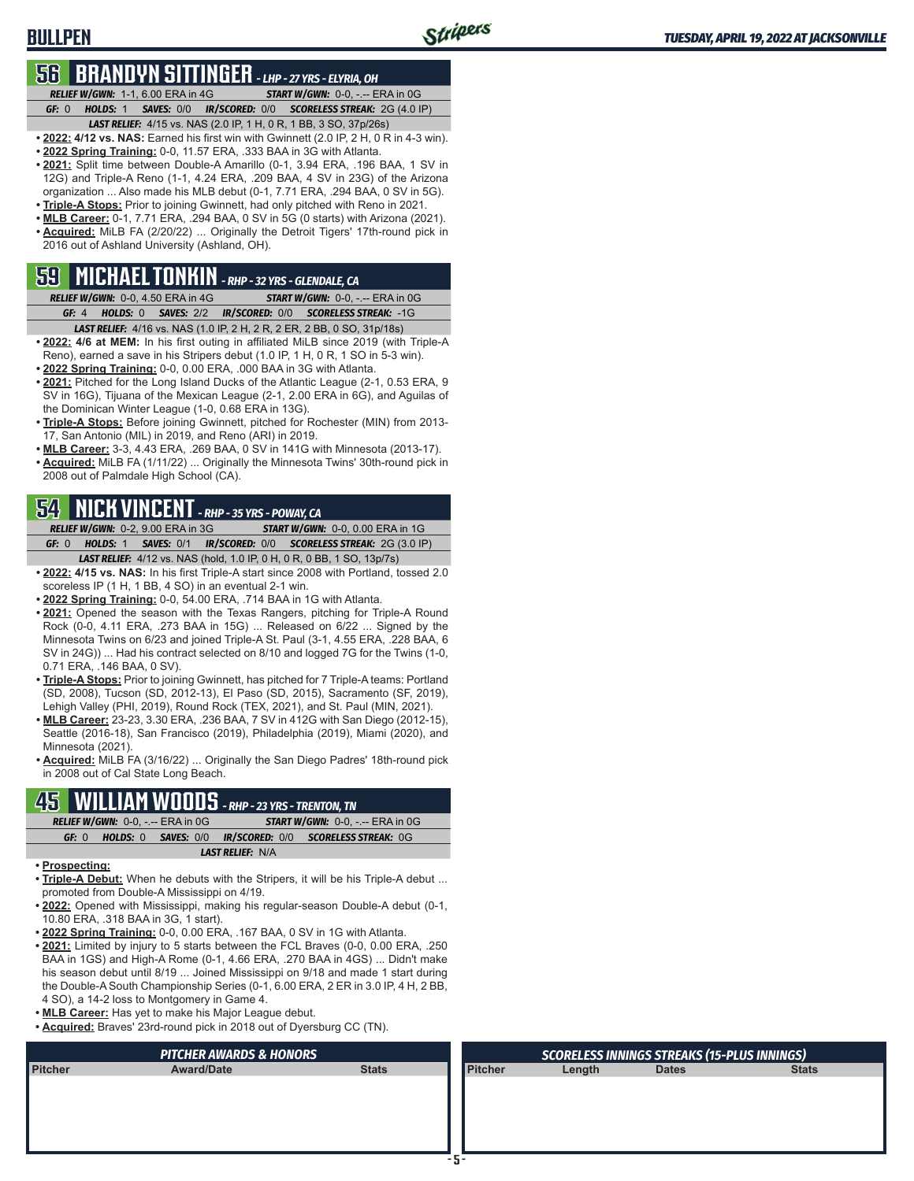## **56 BRANDYN SITTINGER** *- LHP - 27 YRS - ELYRIA, OH*

**BULLPEN**

*RELIEF W/GWN:*1-1, 6.00 ERA in 4G *START W/GWN:*0-0, -.-- ERA in 0G *GF:*0 *HOLDS:*1 *SAVES:*0/0 *IR/SCORED:*0/0 *SCORELESS STREAK:*2G (4.0 IP)

- *LAST RELIEF:*4/15 vs. NAS (2.0 IP, 1 H, 0 R, 1 BB, 3 SO, 37p/26s)
- **• 2022: 4/12 vs. NAS:** Earned his first win with Gwinnett (2.0 IP, 2 H, 0 R in 4-3 win).
- **• 2022 Spring Training:** 0-0, 11.57 ERA, .333 BAA in 3G with Atlanta. **• 2021:** Split time between Double-A Amarillo (0-1, 3.94 ERA, .196 BAA, 1 SV in 12G) and Triple-A Reno (1-1, 4.24 ERA, .209 BAA, 4 SV in 23G) of the Arizona organization ... Also made his MLB debut (0-1, 7.71 ERA, .294 BAA, 0 SV in 5G).
- **• Triple-A Stops:** Prior to joining Gwinnett, had only pitched with Reno in 2021.
- **• MLB Career:** 0-1, 7.71 ERA, .294 BAA, 0 SV in 5G (0 starts) with Arizona (2021).
- **• Acquired:** MiLB FA (2/20/22) ... Originally the Detroit Tigers' 17th-round pick in 2016 out of Ashland University (Ashland, OH).

## **59 MICHAEL TONKIN** *- RHP - 32 YRS - GLENDALE, CA*

*RELIEF W/GWN:*0-0, 4.50 ERA in 4G *START W/GWN:*0-0, -.-- ERA in 0G *GF:*4 *HOLDS:*0 *SAVES:*2/2 *IR/SCORED:*0/0 *SCORELESS STREAK:*-1G

- *LAST RELIEF:*4/16 vs. NAS (1.0 IP, 2 H, 2 R, 2 ER, 2 BB, 0 SO, 31p/18s) **• 2022: 4/6 at MEM:** In his first outing in affiliated MiLB since 2019 (with Triple-A Reno), earned a save in his Stripers debut (1.0 IP, 1 H, 0 R, 1 SO in 5-3 win).
- **• 2022 Spring Training:** 0-0, 0.00 ERA, .000 BAA in 3G with Atlanta.
- **• 2021:** Pitched for the Long Island Ducks of the Atlantic League (2-1, 0.53 ERA, 9 SV in 16G), Tijuana of the Mexican League (2-1, 2.00 ERA in 6G), and Aguilas of the Dominican Winter League (1-0, 0.68 ERA in 13G).
- **• Triple-A Stops:** Before joining Gwinnett, pitched for Rochester (MIN) from 2013- 17, San Antonio (MIL) in 2019, and Reno (ARI) in 2019.
- **• MLB Career:** 3-3, 4.43 ERA, .269 BAA, 0 SV in 141G with Minnesota (2013-17).
- **• Acquired:** MiLB FA (1/11/22) ... Originally the Minnesota Twins' 30th-round pick in 2008 out of Palmdale High School (CA).

## **54 NICK VINCENT** *- RHP - 35 YRS - POWAY, CA*

*RELIEF W/GWN:*0-2, 9.00 ERA in 3G *START W/GWN:*0-0, 0.00 ERA in 1G *GF:*0 *HOLDS:*1 *SAVES:*0/1 *IR/SCORED:*0/0 *SCORELESS STREAK:*2G (3.0 IP) *LAST RELIEF:*4/12 vs. NAS (hold, 1.0 IP, 0 H, 0 R, 0 BB, 1 SO, 13p/7s)

- **• 2022: 4/15 vs. NAS:** In his first Triple-A start since 2008 with Portland, tossed 2.0 scoreless IP (1 H, 1 BB, 4 SO) in an eventual 2-1 win.
- **• 2022 Spring Training:** 0-0, 54.00 ERA, .714 BAA in 1G with Atlanta.
- **• 2021:** Opened the season with the Texas Rangers, pitching for Triple-A Round Rock (0-0, 4.11 ERA, .273 BAA in 15G) ... Released on 6/22 ... Signed by the Minnesota Twins on 6/23 and joined Triple-A St. Paul (3-1, 4.55 ERA, .228 BAA, 6 SV in 24G)) ... Had his contract selected on 8/10 and logged 7G for the Twins (1-0, 0.71 ERA, .146 BAA, 0 SV).
- **• Triple-A Stops:** Prior to joining Gwinnett, has pitched for 7 Triple-A teams: Portland (SD, 2008), Tucson (SD, 2012-13), El Paso (SD, 2015), Sacramento (SF, 2019), Lehigh Valley (PHI, 2019), Round Rock (TEX, 2021), and St. Paul (MIN, 2021).
- **• MLB Career:** 23-23, 3.30 ERA, .236 BAA, 7 SV in 412G with San Diego (2012-15), Seattle (2016-18), San Francisco (2019), Philadelphia (2019), Miami (2020), and Minnesota (2021).
- **• Acquired:** MiLB FA (3/16/22) ... Originally the San Diego Padres' 18th-round pick in 2008 out of Cal State Long Beach.

## **45 WILLIAM WOODS** *- RHP - 23 YRS - TRENTON, TN*

| <b>RELIEF W/GWN: 0-0, -.-- ERA in 0G</b>                                | <b>START W/GWN: 0-0, -.-- ERA in 0G.</b> |  |  |
|-------------------------------------------------------------------------|------------------------------------------|--|--|
| <b>HOLDS:</b> 0 SAVES: 0/0 IR/SCORED: 0/0 SCORELESS STREAK: 0G<br>GE: 0 |                                          |  |  |
|                                                                         | <b>LAST RELIEF: N/A</b>                  |  |  |
|                                                                         |                                          |  |  |

- **• Prospecting:**
- **• Triple-A Debut:** When he debuts with the Stripers, it will be his Triple-A debut ... promoted from Double-A Mississippi on 4/19.
- **• 2022:** Opened with Mississippi, making his regular-season Double-A debut (0-1, 10.80 ERA, .318 BAA in 3G, 1 start).
- **• 2022 Spring Training:** 0-0, 0.00 ERA, .167 BAA, 0 SV in 1G with Atlanta.
- **• 2021:** Limited by injury to 5 starts between the FCL Braves (0-0, 0.00 ERA, .250 BAA in 1GS) and High-A Rome (0-1, 4.66 ERA, .270 BAA in 4GS) ... Didn't make his season debut until 8/19 ... Joined Mississippi on 9/18 and made 1 start during the Double-A South Championship Series (0-1, 6.00 ERA, 2 ER in 3.0 IP, 4 H, 2 BB, 4 SO), a 14-2 loss to Montgomery in Game 4.
- **• MLB Career:** Has yet to make his Major League debut.
- **• Acquired:** Braves' 23rd-round pick in 2018 out of Dyersburg CC (TN).

| <b>PITCHER AWARDS &amp; HONORS</b> |                   |              |                | <b>SCORELESS INNINGS STREAKS (15-PLUS INNINGS)</b> |              |              |  |  |
|------------------------------------|-------------------|--------------|----------------|----------------------------------------------------|--------------|--------------|--|--|
| <b>Pitcher</b>                     | <b>Award/Date</b> | <b>Stats</b> | <b>Pitcher</b> | Length                                             | <b>Dates</b> | <b>Stats</b> |  |  |
|                                    |                   |              |                |                                                    |              |              |  |  |
|                                    |                   |              |                |                                                    |              |              |  |  |
|                                    |                   |              |                |                                                    |              |              |  |  |
|                                    |                   |              |                |                                                    |              |              |  |  |
|                                    |                   |              |                |                                                    |              |              |  |  |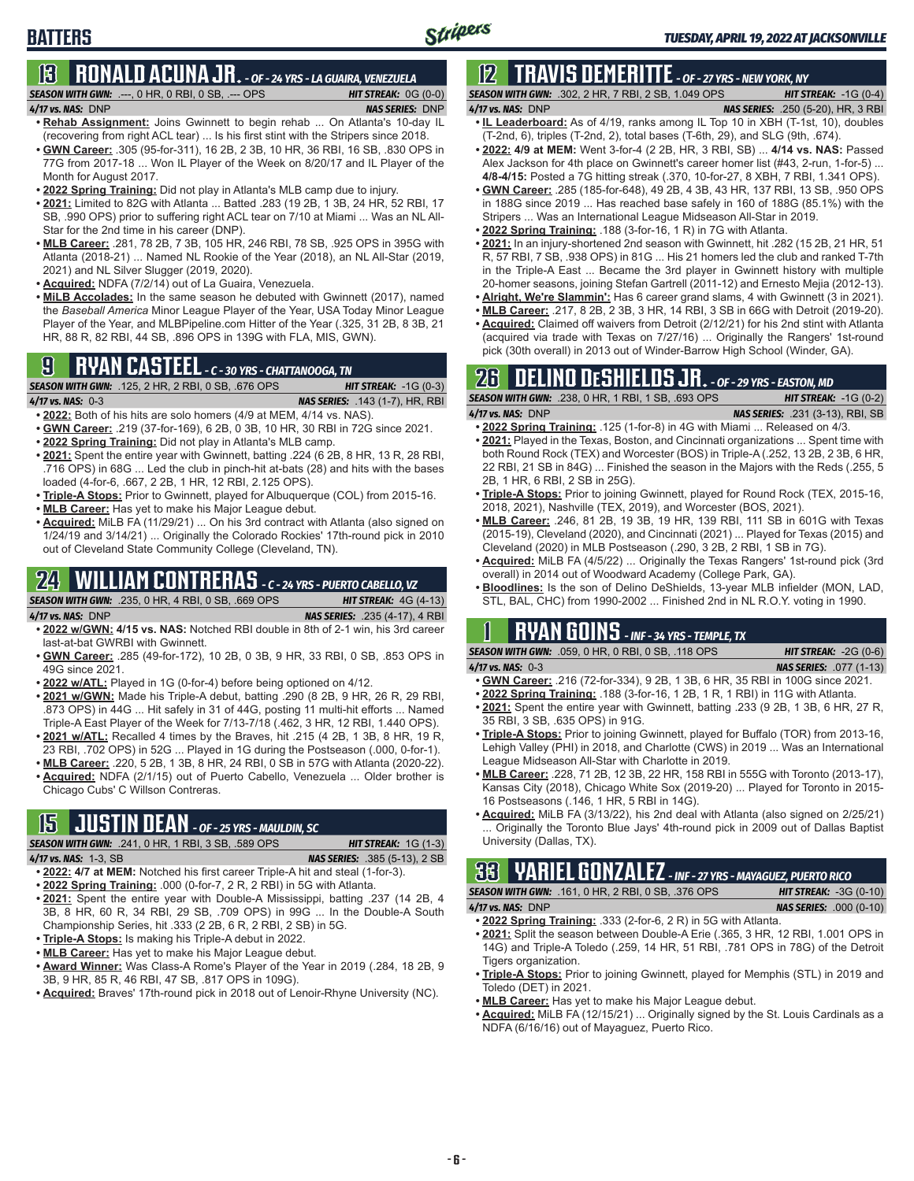## **BATTERS**

### **13 RONALD ACUNA JR.** *- OF - 24 YRS - LA GUAIRA, VENEZUELA*

*SEASON WITH GWN:*.---, 0 HR, 0 RBI, 0 SB, .--- OPS *HIT STREAK:* 0G (0-0)

- *4/17 vs. NAS:*DNP *NAS SERIES:* DNP **• Rehab Assignment:** Joins Gwinnett to begin rehab ... On Atlanta's 10-day IL
- (recovering from right ACL tear) ... Is his first stint with the Stripers since 2018. **• GWN Career:** .305 (95-for-311), 16 2B, 2 3B, 10 HR, 36 RBI, 16 SB, .830 OPS in 77G from 2017-18 ... Won IL Player of the Week on 8/20/17 and IL Player of the Month for August 2017.
- **• 2022 Spring Training:** Did not play in Atlanta's MLB camp due to injury.
- **• 2021:** Limited to 82G with Atlanta ... Batted .283 (19 2B, 1 3B, 24 HR, 52 RBI, 17 SB, .990 OPS) prior to suffering right ACL tear on 7/10 at Miami ... Was an NL All-Star for the 2nd time in his career (DNP).
- **• MLB Career:** .281, 78 2B, 7 3B, 105 HR, 246 RBI, 78 SB, .925 OPS in 395G with Atlanta (2018-21) ... Named NL Rookie of the Year (2018), an NL All-Star (2019, 2021) and NL Silver Slugger (2019, 2020).
- **• Acquired:** NDFA (7/2/14) out of La Guaira, Venezuela.
- **• MiLB Accolades:** In the same season he debuted with Gwinnett (2017), named the *Baseball America* Minor League Player of the Year, USA Today Minor League Player of the Year, and MLBPipeline.com Hitter of the Year (.325, 31 2B, 8 3B, 21 HR, 88 R, 82 RBI, 44 SB, .896 OPS in 139G with FLA, MIS, GWN).

## **9 RYAN CASTEEL** *- C - 30 YRS - CHATTANOOGA, TN*

*SEASON WITH GWN:*.125, 2 HR, 2 RBI, 0 SB, .676 OPS *HIT STREAK:* -1G (0-3) *4/17 vs. NAS:*0-3 *NAS SERIES:* .143 (1-7), HR, RBI

- **• 2022:** Both of his hits are solo homers (4/9 at MEM, 4/14 vs. NAS).
- **• GWN Career:** .219 (37-for-169), 6 2B, 0 3B, 10 HR, 30 RBI in 72G since 2021.
- **• 2022 Spring Training:** Did not play in Atlanta's MLB camp.
- **• 2021:** Spent the entire year with Gwinnett, batting .224 (6 2B, 8 HR, 13 R, 28 RBI, .716 OPS) in 68G ... Led the club in pinch-hit at-bats (28) and hits with the bases loaded (4-for-6, .667, 2 2B, 1 HR, 12 RBI, 2.125 OPS).
- **• Triple-A Stops:** Prior to Gwinnett, played for Albuquerque (COL) from 2015-16.
- **• MLB Career:** Has yet to make his Major League debut.
- **• Acquired:** MiLB FA (11/29/21) ... On his 3rd contract with Atlanta (also signed on 1/24/19 and 3/14/21) ... Originally the Colorado Rockies' 17th-round pick in 2010 out of Cleveland State Community College (Cleveland, TN).

## **24 WILLIAM CONTRERAS** *- C - 24 YRS - PUERTO CABELLO, VZ*

*SEASON WITH GWN:*.235, 0 HR, 4 RBI, 0 SB, .669 OPS *HIT STREAK:* 4G (4-13) *4/17 vs. NAS:*DNP *NAS SERIES:* .235 (4-17), 4 RBI

- **• 2022 w/GWN: 4/15 vs. NAS:** Notched RBI double in 8th of 2-1 win, his 3rd career last-at-bat GWRBI with Gwinnett.
- **• GWN Career:** .285 (49-for-172), 10 2B, 0 3B, 9 HR, 33 RBI, 0 SB, .853 OPS in 49G since 2021.
- **• 2022 w/ATL:** Played in 1G (0-for-4) before being optioned on 4/12.
- **• 2021 w/GWN:** Made his Triple-A debut, batting .290 (8 2B, 9 HR, 26 R, 29 RBI, .873 OPS) in 44G ... Hit safely in 31 of 44G, posting 11 multi-hit efforts ... Named Triple-A East Player of the Week for 7/13-7/18 (.462, 3 HR, 12 RBI, 1.440 OPS).
- **• 2021 w/ATL:** Recalled 4 times by the Braves, hit .215 (4 2B, 1 3B, 8 HR, 19 R, 23 RBI, .702 OPS) in 52G ... Played in 1G during the Postseason (.000, 0-for-1).
- **• MLB Career:** .220, 5 2B, 1 3B, 8 HR, 24 RBI, 0 SB in 57G with Atlanta (2020-22). **• Acquired:** NDFA (2/1/15) out of Puerto Cabello, Venezuela ... Older brother is Chicago Cubs' C Willson Contreras.

## **15 JUSTIN DEAN** *- OF - 25 YRS - MAULDIN, SC*

*SEASON WITH GWN:*.241, 0 HR, 1 RBI, 3 SB, .589 OPS *HIT STREAK:* 1G (1-3) *4/17 vs. NAS:*1-3, SB *NAS SERIES:* .385 (5-13), 2 SB

- **• 2022: 4/7 at MEM:** Notched his first career Triple-A hit and steal (1-for-3).
- **• 2022 Spring Training:** .000 (0-for-7, 2 R, 2 RBI) in 5G with Atlanta.
- **• 2021:** Spent the entire year with Double-A Mississippi, batting .237 (14 2B, 4 3B, 8 HR, 60 R, 34 RBI, 29 SB, .709 OPS) in 99G ... In the Double-A South Championship Series, hit .333 (2 2B, 6 R, 2 RBI, 2 SB) in 5G.
- **• Triple-A Stops:** Is making his Triple-A debut in 2022.
- **• MLB Career:** Has yet to make his Major League debut.
- **• Award Winner:** Was Class-A Rome's Player of the Year in 2019 (.284, 18 2B, 9 3B, 9 HR, 85 R, 46 RBI, 47 SB, .817 OPS in 109G).
- **• Acquired:** Braves' 17th-round pick in 2018 out of Lenoir-Rhyne University (NC).

## **12 TRAVIS DEMERITTE** *- OF - 27 YRS - NEW YORK, NY*

- *SEASON WITH GWN:*.302, 2 HR, 7 RBI, 2 SB, 1.049 OPS *HIT STREAK:* -1G (0-4) *4/17 vs. NAS:*DNP *NAS SERIES:* .250 (5-20), HR, 3 RBI **• IL Leaderboard:** As of 4/19, ranks among IL Top 10 in XBH (T-1st, 10), doubles
- (T-2nd, 6), triples (T-2nd, 2), total bases (T-6th, 29), and SLG (9th, .674). **• 2022: 4/9 at MEM:** Went 3-for-4 (2 2B, HR, 3 RBI, SB) ... **4/14 vs. NAS:** Passed
- Alex Jackson for 4th place on Gwinnett's career homer list (#43, 2-run, 1-for-5) ... **4/8-4/15:** Posted a 7G hitting streak (.370, 10-for-27, 8 XBH, 7 RBI, 1.341 OPS).
- **• GWN Career:** .285 (185-for-648), 49 2B, 4 3B, 43 HR, 137 RBI, 13 SB, .950 OPS in 188G since 2019 ... Has reached base safely in 160 of 188G (85.1%) with the Stripers ... Was an International League Midseason All-Star in 2019.
- **• 2022 Spring Training:** .188 (3-for-16, 1 R) in 7G with Atlanta.
- **• 2021:** In an injury-shortened 2nd season with Gwinnett, hit .282 (15 2B, 21 HR, 51 R, 57 RBI, 7 SB, .938 OPS) in 81G ... His 21 homers led the club and ranked T-7th in the Triple-A East ... Became the 3rd player in Gwinnett history with multiple 20-homer seasons, joining Stefan Gartrell (2011-12) and Ernesto Mejia (2012-13). **• Alright, We're Slammin':** Has 6 career grand slams, 4 with Gwinnett (3 in 2021).
- **• MLB Career:** .217, 8 2B, 2 3B, 3 HR, 14 RBI, 3 SB in 66G with Detroit (2019-20).
- **• Acquired:** Claimed off waivers from Detroit (2/12/21) for his 2nd stint with Atlanta (acquired via trade with Texas on 7/27/16) ... Originally the Rangers' 1st-round pick (30th overall) in 2013 out of Winder-Barrow High School (Winder, GA).

## **26 DELINO DESHIELDS JR.** *- OF - 29 YRS - EASTON, MD*

*SEASON WITH GWN:*.238, 0 HR, 1 RBI, 1 SB, .693 OPS *HIT STREAK:* -1G (0-2) *4/17 vs. NAS:*DNP *NAS SERIES:* .231 (3-13), RBI, SB

- **• 2022 Spring Training:** .125 (1-for-8) in 4G with Miami ... Released on 4/3. **• 2021:** Played in the Texas, Boston, and Cincinnati organizations ... Spent time with both Round Rock (TEX) and Worcester (BOS) in Triple-A (.252, 13 2B, 2 3B, 6 HR, 22 RBI, 21 SB in 84G) ... Finished the season in the Majors with the Reds (.255, 5 2B, 1 HR, 6 RBI, 2 SB in 25G).
- **• Triple-A Stops:** Prior to joining Gwinnett, played for Round Rock (TEX, 2015-16, 2018, 2021), Nashville (TEX, 2019), and Worcester (BOS, 2021).
- **• MLB Career:** .246, 81 2B, 19 3B, 19 HR, 139 RBI, 111 SB in 601G with Texas (2015-19), Cleveland (2020), and Cincinnati (2021) ... Played for Texas (2015) and Cleveland (2020) in MLB Postseason (.290, 3 2B, 2 RBI, 1 SB in 7G).
- **• Acquired:** MiLB FA (4/5/22) ... Originally the Texas Rangers' 1st-round pick (3rd overall) in 2014 out of Woodward Academy (College Park, GA).
- **• Bloodlines:** Is the son of Delino DeShields, 13-year MLB infielder (MON, LAD, STL, BAL, CHC) from 1990-2002 ... Finished 2nd in NL R.O.Y. voting in 1990.

## **1 RYAN GOINS** *- INF - 34 YRS - TEMPLE, TX*

*SEASON WITH GWN:*.059, 0 HR, 0 RBI, 0 SB, .118 OPS *HIT STREAK:* -2G (0-6) *4/17 vs. NAS:*0-3 *NAS SERIES:* .077 (1-13)

- **• GWN Career:** .216 (72-for-334), 9 2B, 1 3B, 6 HR, 35 RBI in 100G since 2021.
- **• 2022 Spring Training:** .188 (3-for-16, 1 2B, 1 R, 1 RBI) in 11G with Atlanta.
- **• 2021:** Spent the entire year with Gwinnett, batting .233 (9 2B, 1 3B, 6 HR, 27 R, 35 RBI, 3 SB, .635 OPS) in 91G.
- **• Triple-A Stops:** Prior to joining Gwinnett, played for Buffalo (TOR) from 2013-16, Lehigh Valley (PHI) in 2018, and Charlotte (CWS) in 2019 ... Was an International League Midseason All-Star with Charlotte in 2019.
- **• MLB Career:** .228, 71 2B, 12 3B, 22 HR, 158 RBI in 555G with Toronto (2013-17), Kansas City (2018), Chicago White Sox (2019-20) ... Played for Toronto in 2015- 16 Postseasons (.146, 1 HR, 5 RBI in 14G).
- **• Acquired:** MiLB FA (3/13/22), his 2nd deal with Atlanta (also signed on 2/25/21) Originally the Toronto Blue Jays' 4th-round pick in 2009 out of Dallas Baptist University (Dallas, TX).

**33 YARIEL GONZALEZ** *- INF - 27 YRS - MAYAGUEZ, PUERTO RICO*

|                       | <b>SEASON WITH GWN: .161. 0 HR. 2 RBI. 0 SB. .376 OPS</b> | <b>HIT STREAK: <math>-3G(0-10)</math></b> |  |
|-----------------------|-----------------------------------------------------------|-------------------------------------------|--|
| $4/17$ vs. NAS: $DNP$ |                                                           | <b>NAS SERIES:</b> .000 (0-10)            |  |
|                       |                                                           |                                           |  |

- **• 2022 Spring Training:** .333 (2-for-6, 2 R) in 5G with Atlanta. **• 2021:** Split the season between Double-A Erie (.365, 3 HR, 12 RBI, 1.001 OPS in 14G) and Triple-A Toledo (.259, 14 HR, 51 RBI, .781 OPS in 78G) of the Detroit Tigers organization.
- **• Triple-A Stops:** Prior to joining Gwinnett, played for Memphis (STL) in 2019 and Toledo (DET) in 2021.
- **• MLB Career:** Has yet to make his Major League debut.
- **• Acquired:** MiLB FA (12/15/21) ... Originally signed by the St. Louis Cardinals as a NDFA (6/16/16) out of Mayaguez, Puerto Rico.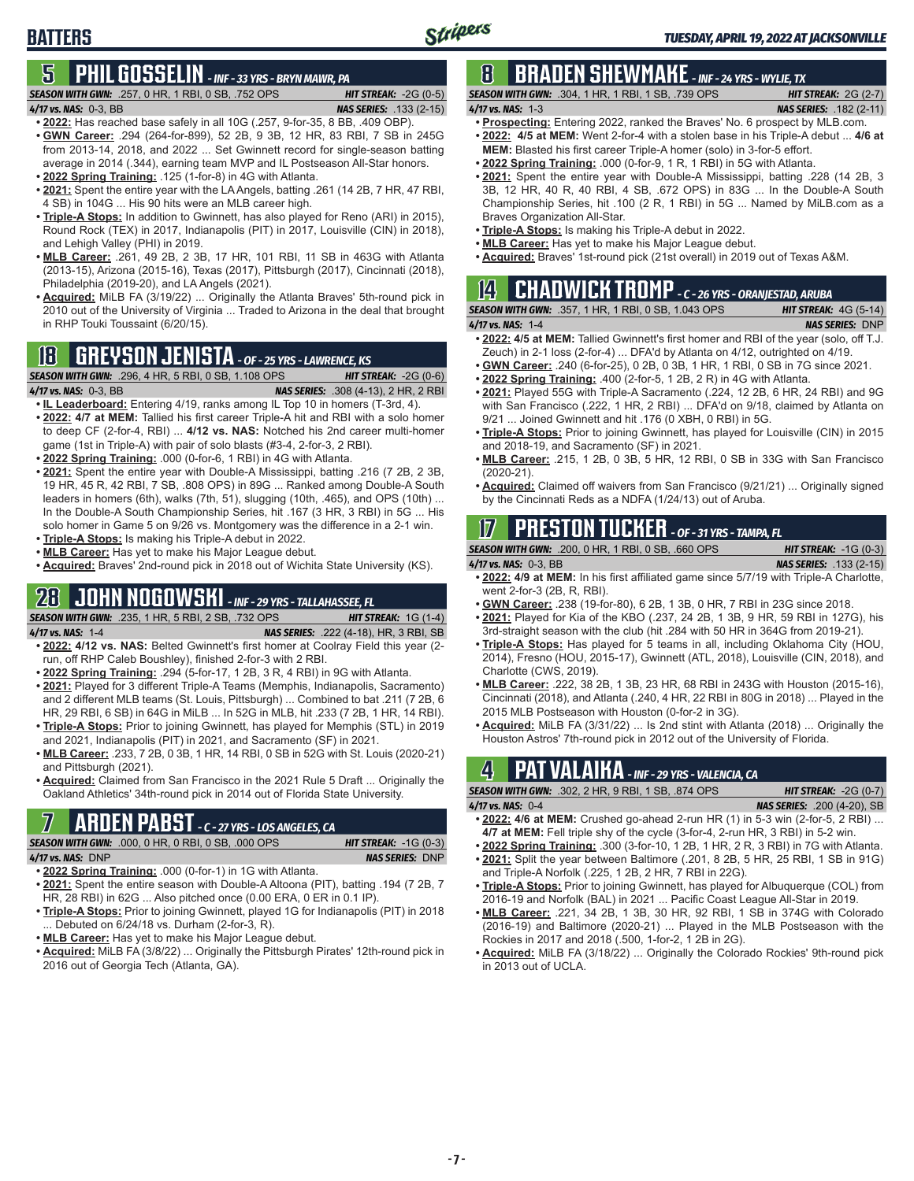## **5 PHIL GOSSELIN** *- INF - 33 YRS - BRYN MAWR, PA*

*SEASON WITH GWN:*.257, 0 HR, 1 RBI, 0 SB, .752 OPS *HIT STREAK:* -2G (0-5)

**BATTERS**

#### *4/17 vs. NAS:*0-3, BB *NAS SERIES:* .133 (2-15)

- **• 2022:** Has reached base safely in all 10G (.257, 9-for-35, 8 BB, .409 OBP). **• GWN Career:** .294 (264-for-899), 52 2B, 9 3B, 12 HR, 83 RBI, 7 SB in 245G from 2013-14, 2018, and 2022 ... Set Gwinnett record for single-season batting average in 2014 (.344), earning team MVP and IL Postseason All-Star honors.
- **• 2022 Spring Training:** .125 (1-for-8) in 4G with Atlanta.
- **• 2021:** Spent the entire year with the LA Angels, batting .261 (14 2B, 7 HR, 47 RBI, 4 SB) in 104G ... His 90 hits were an MLB career high.
- **• Triple-A Stops:** In addition to Gwinnett, has also played for Reno (ARI) in 2015), Round Rock (TEX) in 2017, Indianapolis (PIT) in 2017, Louisville (CIN) in 2018), and Lehigh Valley (PHI) in 2019.
- **• MLB Career:** .261, 49 2B, 2 3B, 17 HR, 101 RBI, 11 SB in 463G with Atlanta (2013-15), Arizona (2015-16), Texas (2017), Pittsburgh (2017), Cincinnati (2018), Philadelphia (2019-20), and LA Angels (2021).
- **• Acquired:** MiLB FA (3/19/22) ... Originally the Atlanta Braves' 5th-round pick in 2010 out of the University of Virginia ... Traded to Arizona in the deal that brought in RHP Touki Toussaint (6/20/15).

## **18 GREYSON JENISTA** *- OF - 25 YRS - LAWRENCE, KS*

*SEASON WITH GWN:*.296, 4 HR, 5 RBI, 0 SB, 1.108 OPS *HIT STREAK:* -2G (0-6) *4/17 vs. NAS:*0-3, BB *NAS SERIES:* .308 (4-13), 2 HR, 2 RBI

- **• IL Leaderboard:** Entering 4/19, ranks among IL Top 10 in homers (T-3rd, 4). **• 2022: 4/7 at MEM:** Tallied his first career Triple-A hit and RBI with a solo homer to deep CF (2-for-4, RBI) ... **4/12 vs. NAS:** Notched his 2nd career multi-homer game (1st in Triple-A) with pair of solo blasts (#3-4, 2-for-3, 2 RBI).
- **• 2022 Spring Training:** .000 (0-for-6, 1 RBI) in 4G with Atlanta.
- **• 2021:** Spent the entire year with Double-A Mississippi, batting .216 (7 2B, 2 3B, 19 HR, 45 R, 42 RBI, 7 SB, .808 OPS) in 89G ... Ranked among Double-A South leaders in homers (6th), walks (7th, 51), slugging (10th, .465), and OPS (10th) ... In the Double-A South Championship Series, hit .167 (3 HR, 3 RBI) in 5G ... His solo homer in Game 5 on 9/26 vs. Montgomery was the difference in a 2-1 win.
- **• Triple-A Stops:** Is making his Triple-A debut in 2022.
- **• MLB Career:** Has yet to make his Major League debut.
- **• Acquired:** Braves' 2nd-round pick in 2018 out of Wichita State University (KS).

### **28 JOHN NOGOWSKI** *- INF - 29 YRS - TALLAHASSEE, FL*

*SEASON WITH GWN:*.235, 1 HR, 5 RBI, 2 SB, .732 OPS *HIT STREAK:* 1G (1-4) *4/17 vs. NAS:*1-4 *NAS SERIES:* .222 (4-18), HR, 3 RBI, SB

- **• 2022: 4/12 vs. NAS:** Belted Gwinnett's first homer at Coolray Field this year (2 run, off RHP Caleb Boushley), finished 2-for-3 with 2 RBI.
- **• 2022 Spring Training:** .294 (5-for-17, 1 2B, 3 R, 4 RBI) in 9G with Atlanta.
- **• 2021:** Played for 3 different Triple-A Teams (Memphis, Indianapolis, Sacramento) and 2 different MLB teams (St. Louis, Pittsburgh) ... Combined to bat .211 (7 2B, 6 HR, 29 RBI, 6 SB) in 64G in MiLB ... In 52G in MLB, hit .233 (7 2B, 1 HR, 14 RBI).
- **• Triple-A Stops:** Prior to joining Gwinnett, has played for Memphis (STL) in 2019 and 2021, Indianapolis (PIT) in 2021, and Sacramento (SF) in 2021.
- **• MLB Career:** .233, 7 2B, 0 3B, 1 HR, 14 RBI, 0 SB in 52G with St. Louis (2020-21) and Pittsburgh (2021).
- **• Acquired:** Claimed from San Francisco in the 2021 Rule 5 Draft ... Originally the Oakland Athletics' 34th-round pick in 2014 out of Florida State University.

## **7 ARDEN PABST** *- C - 27 YRS - LOS ANGELES, CA*

*SEASON WITH GWN:*.000, 0 HR, 0 RBI, 0 SB, .000 OPS *HIT STREAK:* -1G (0-3)

#### *4/17 vs. NAS:*DNP *NAS SERIES:* DNP

- **• 2022 Spring Training:** .000 (0-for-1) in 1G with Atlanta. **• 2021:** Spent the entire season with Double-A Altoona (PIT), batting .194 (7 2B, 7 HR, 28 RBI) in 62G ... Also pitched once (0.00 ERA, 0 ER in 0.1 IP).
- **• Triple-A Stops:** Prior to joining Gwinnett, played 1G for Indianapolis (PIT) in 2018 ... Debuted on 6/24/18 vs. Durham (2-for-3, R).
- **• MLB Career:** Has yet to make his Major League debut.
- **• Acquired:** MiLB FA (3/8/22) ... Originally the Pittsburgh Pirates' 12th-round pick in 2016 out of Georgia Tech (Atlanta, GA).

#### **8 BRADEN SHEWMAKE** *- INF - 24 YRS - WYLIE, TX SEASON WITH GWN:*.304, 1 HR, 1 RBI, 1 SB, .739 OPS *HIT STREAK:* 2G (2-7)

- *4/17 vs. NAS:*1-3 *NAS SERIES:* .182 (2-11) **• Prospecting:** Entering 2022, ranked the Braves' No. 6 prospect by MLB.com. **• 2022: 4/5 at MEM:** Went 2-for-4 with a stolen base in his Triple-A debut ... **4/6 at**
- **MEM:** Blasted his first career Triple-A homer (solo) in 3-for-5 effort.
- **• 2022 Spring Training:** .000 (0-for-9, 1 R, 1 RBI) in 5G with Atlanta.
- **• 2021:** Spent the entire year with Double-A Mississippi, batting .228 (14 2B, 3 3B, 12 HR, 40 R, 40 RBI, 4 SB, .672 OPS) in 83G ... In the Double-A South Championship Series, hit .100 (2 R, 1 RBI) in 5G ... Named by MiLB.com as a Braves Organization All-Star.
- **• Triple-A Stops:** Is making his Triple-A debut in 2022.
- **• MLB Career:** Has yet to make his Major League debut.
- **• Acquired:** Braves' 1st-round pick (21st overall) in 2019 out of Texas A&M.

### **14 CHADWICK TROMP** *- C - 26 YRS - ORANJESTAD, ARUBA*

*SEASON WITH GWN:*.357, 1 HR, 1 RBI, 0 SB, 1.043 OPS *HIT STREAK:* 4G (5-14) *4/17 vs. NAS:*1-4 *NAS SERIES:* DNP

- **• 2022: 4/5 at MEM:** Tallied Gwinnett's first homer and RBI of the year (solo, off T.J. Zeuch) in 2-1 loss (2-for-4) ... DFA'd by Atlanta on 4/12, outrighted on 4/19.
- **• GWN Career:** .240 (6-for-25), 0 2B, 0 3B, 1 HR, 1 RBI, 0 SB in 7G since 2021. **• 2022 Spring Training:** .400 (2-for-5, 1 2B, 2 R) in 4G with Atlanta.
- **• 2021:** Played 55G with Triple-A Sacramento (.224, 12 2B, 6 HR, 24 RBI) and 9G with San Francisco (.222, 1 HR, 2 RBI) ... DFA'd on 9/18, claimed by Atlanta on 9/21 ... Joined Gwinnett and hit .176 (0 XBH, 0 RBI) in 5G.
- **• Triple-A Stops:** Prior to joining Gwinnett, has played for Louisville (CIN) in 2015 and 2018-19, and Sacramento (SF) in 2021.
- **• MLB Career:** .215, 1 2B, 0 3B, 5 HR, 12 RBI, 0 SB in 33G with San Francisco (2020-21).
- **• Acquired:** Claimed off waivers from San Francisco (9/21/21) ... Originally signed by the Cincinnati Reds as a NDFA (1/24/13) out of Aruba.

## **17 PRESTON TUCKER** *- OF - 31 YRS - TAMPA, FL*

| <b>SEASON WITH GWN:</b> .200, 0 HR, 1 RBI, 0 SB, .660 OPS | <b>HIT STREAK:</b> $-1G(0-3)$ |
|-----------------------------------------------------------|-------------------------------|
|                                                           |                               |

- *4/17 vs. NAS:*0-3, BB *NAS SERIES:* .133 (2-15) **• 2022: 4/9 at MEM:** In his first affiliated game since 5/7/19 with Triple-A Charlotte, went 2-for-3 (2B, R, RBI).
- **• GWN Career:** .238 (19-for-80), 6 2B, 1 3B, 0 HR, 7 RBI in 23G since 2018.
- **• 2021:** Played for Kia of the KBO (.237, 24 2B, 1 3B, 9 HR, 59 RBI in 127G), his 3rd-straight season with the club (hit .284 with 50 HR in 364G from 2019-21).
- **• Triple-A Stops:** Has played for 5 teams in all, including Oklahoma City (HOU, 2014), Fresno (HOU, 2015-17), Gwinnett (ATL, 2018), Louisville (CIN, 2018), and Charlotte (CWS, 2019).
- **• MLB Career:** .222, 38 2B, 1 3B, 23 HR, 68 RBI in 243G with Houston (2015-16), Cincinnati (2018), and Atlanta (.240, 4 HR, 22 RBI in 80G in 2018) ... Played in the 2015 MLB Postseason with Houston (0-for-2 in 3G).
- **• Acquired:** MiLB FA (3/31/22) ... Is 2nd stint with Atlanta (2018) ... Originally the Houston Astros' 7th-round pick in 2012 out of the University of Florida.

## **4 PAT VALAIKA** *- INF - 29 YRS - VALENCIA, CA*

| <b>SEASON WITH GWN: .302, 2 HR, 9 RBI, 1 SB, .874 OPS</b>                     | <b>HIT STREAK:</b> $-2G(0-7)$      |
|-------------------------------------------------------------------------------|------------------------------------|
| 4/17 vs. NAS: $0-4$                                                           | <b>NAS SERIES:</b> .200 (4-20), SB |
| • 2022: 4/6 at MEM: Crushed go-ahead 2-run HR (1) in 5-3 win (2-for-5, 2 RBI) |                                    |

- **4/7 at MEM:** Fell triple shy of the cycle (3-for-4, 2-run HR, 3 RBI) in 5-2 win.
- **• 2022 Spring Training:** .300 (3-for-10, 1 2B, 1 HR, 2 R, 3 RBI) in 7G with Atlanta. **• 2021:** Split the year between Baltimore (.201, 8 2B, 5 HR, 25 RBI, 1 SB in 91G) and Triple-A Norfolk (.225, 1 2B, 2 HR, 7 RBI in 22G).
- **• Triple-A Stops:** Prior to joining Gwinnett, has played for Albuquerque (COL) from 2016-19 and Norfolk (BAL) in 2021 ... Pacific Coast League All-Star in 2019.
- **• MLB Career:** .221, 34 2B, 1 3B, 30 HR, 92 RBI, 1 SB in 374G with Colorado (2016-19) and Baltimore (2020-21) ... Played in the MLB Postseason with the Rockies in 2017 and 2018 (.500, 1-for-2, 1 2B in 2G).
- **• Acquired:** MiLB FA (3/18/22) ... Originally the Colorado Rockies' 9th-round pick in 2013 out of UCLA.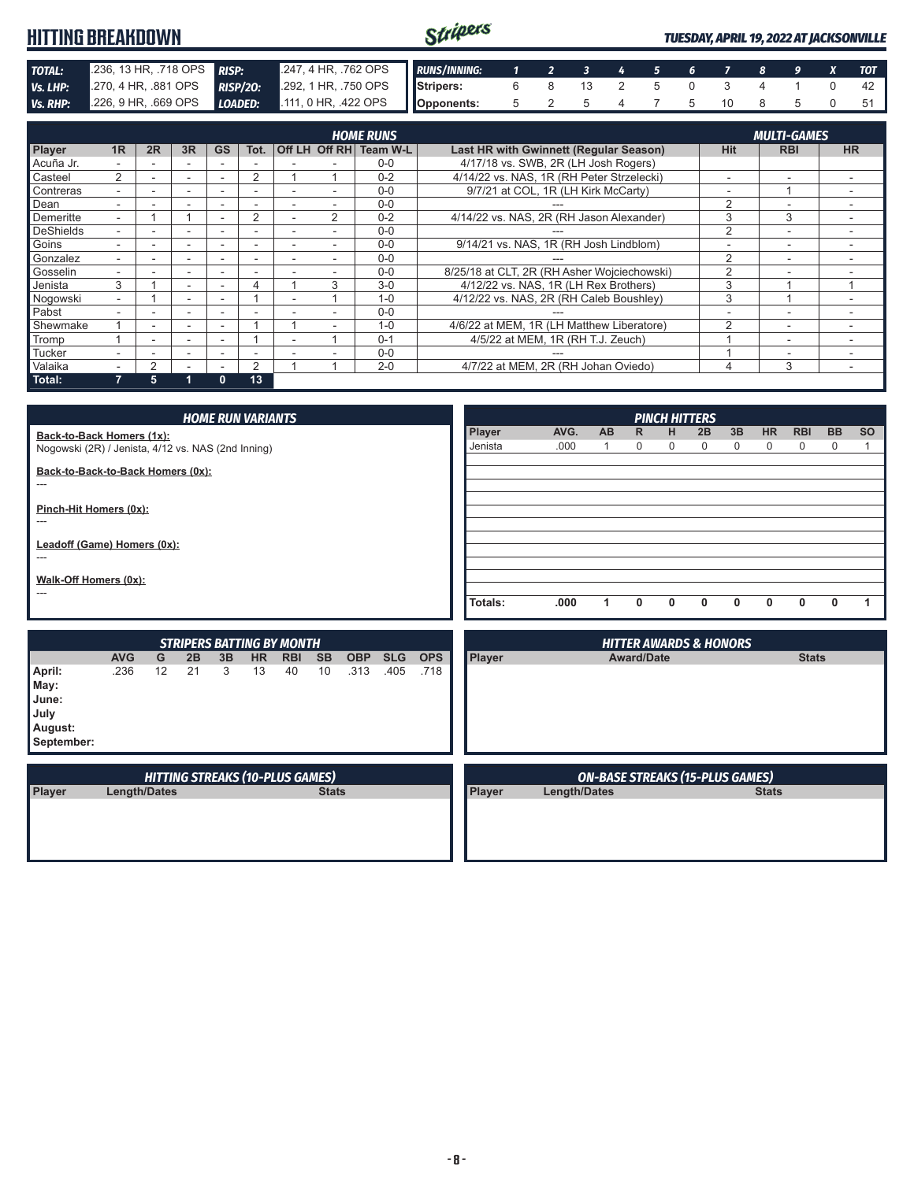#### Stripers **HITTING BREAKDOWN** *TUESDAY, APRIL 19, 2022 AT JACKSONVILLE* **TOTAL:** .236, 13 HR, .718 OPS **RISP:** .247, 4 HR, .762 OPS **Vs. LHP:** .270, 4 HR, .881 OPS **RISP/20:** .292, 1 HR, .750 OPS *RUNS/INNING: 1 2 3 4 5 6 7 8 9 X TOT RISP/20: Ps. .4 HR, .881 OPS* **RISP/20: Stripers:** 6 8 13 2 5 0 3 4 1 0 42 *Vs. RHP:* .226, 9 HR, .669 OPS *LOADED:* .111, 0 HR, .422 OPS **Opponents:** 5 2 5 4 7 5 10 8 5 0 51

| <b>HOME RUNS</b> |    |        |                          |                          |      |  |                |                        |                                               | <b>MULTI-GAMES</b>       |                          |           |  |  |
|------------------|----|--------|--------------------------|--------------------------|------|--|----------------|------------------------|-----------------------------------------------|--------------------------|--------------------------|-----------|--|--|
| <b>Player</b>    | 1R | 2R     | 3R                       | <b>GS</b>                | Tot. |  |                | Off LH Off RH Team W-L | <b>Last HR with Gwinnett (Regular Season)</b> | <b>Hit</b>               | <b>RBI</b>               | <b>HR</b> |  |  |
| Acuña Jr.        |    |        | -                        |                          |      |  |                | $0 - 0$                | 4/17/18 vs. SWB, 2R (LH Josh Rogers)          |                          |                          |           |  |  |
| <b>Casteel</b>   | 2  |        | ۰                        |                          |      |  |                | $0 - 2$                | 4/14/22 vs. NAS, 1R (RH Peter Strzelecki)     | $\overline{\phantom{a}}$ |                          |           |  |  |
| Contreras        |    |        |                          |                          |      |  |                | $0 - 0$                | 9/7/21 at COL, 1R (LH Kirk McCarty)           |                          |                          |           |  |  |
| Dean             |    |        |                          |                          |      |  |                | $0 - 0$                |                                               | $\mathfrak{p}$           | $\overline{\phantom{0}}$ |           |  |  |
| Demeritte        | ۰. |        |                          |                          | 2    |  | $\overline{2}$ | $0 - 2$                | 4/14/22 vs. NAS, 2R (RH Jason Alexander)      | 3                        | 3                        |           |  |  |
| DeShields        | ۰. |        | -                        | $\overline{\phantom{0}}$ | -    |  |                | $0 - 0$                |                                               | $\overline{2}$           | $\overline{\phantom{a}}$ |           |  |  |
| Goins            |    | -      | $\sim$                   | -                        | ۰.   |  |                | $0 - 0$                | 9/14/21 vs. NAS, 1R (RH Josh Lindblom)        |                          | $\overline{\phantom{a}}$ |           |  |  |
| Gonzalez         |    |        | $\sim$                   |                          | -    |  |                | $0 - 0$                |                                               | $\overline{2}$           | $\overline{\phantom{0}}$ |           |  |  |
| Gosselin         |    |        | $\overline{\phantom{a}}$ | $\overline{\phantom{0}}$ | -    |  |                | $0 - 0$                | 8/25/18 at CLT, 2R (RH Asher Wojciechowski)   |                          |                          |           |  |  |
| Jenista          | 3  |        | $\sim$                   |                          | 4    |  | 3              | $3-0$                  | 4/12/22 vs. NAS, 1R (LH Rex Brothers)         | 3                        |                          |           |  |  |
| Nogowski         |    |        | $\sim$                   |                          |      |  |                | $1 - 0$                | 4/12/22 vs. NAS, 2R (RH Caleb Boushley)       | 3                        |                          |           |  |  |
| Pabst            |    |        | $\overline{\phantom{a}}$ |                          |      |  |                | $0 - 0$                |                                               |                          |                          |           |  |  |
| Shewmake         |    | ۰      | $\overline{\phantom{a}}$ |                          |      |  |                | $1 - 0$                | 4/6/22 at MEM, 1R (LH Matthew Liberatore)     | 2                        | $\sim$                   |           |  |  |
| Tromp            |    | $\sim$ | $\sim$                   |                          |      |  |                | $0 - 1$                | 4/5/22 at MEM, 1R (RH T.J. Zeuch)             |                          | $\overline{\phantom{a}}$ |           |  |  |
| <b>Tucker</b>    |    | -      | $\sim$                   |                          | -    |  |                | $0 - 0$                |                                               |                          | -                        |           |  |  |
| <b>Valaika</b>   |    |        |                          |                          |      |  |                | $2 - 0$                | 4/7/22 at MEM. 2R (RH Johan Oviedo)           | 4                        | 3                        |           |  |  |
| Total:           |    | 5      |                          | 0                        | 13   |  |                |                        |                                               |                          |                          |           |  |  |

|                                   |                                                    |                                        |    |    | <b>HOME RUN VARIANTS</b>         |            |              |            |            |            |         |                     |                                        |                   | <b>PINCH HITTERS</b> |                                   |              |              |              |           |           |
|-----------------------------------|----------------------------------------------------|----------------------------------------|----|----|----------------------------------|------------|--------------|------------|------------|------------|---------|---------------------|----------------------------------------|-------------------|----------------------|-----------------------------------|--------------|--------------|--------------|-----------|-----------|
| Back-to-Back Homers (1x):         |                                                    |                                        |    |    |                                  |            |              |            |            |            | Player  | AVG.                | AB                                     | $\mathsf{R}$      | н                    | 2B                                | 3B           | HR           | <b>RBI</b>   | <b>BB</b> | <b>SO</b> |
|                                   | Nogowski (2R) / Jenista, 4/12 vs. NAS (2nd Inning) |                                        |    |    |                                  |            |              | Jenista    | .000       | 1          | 0       | 0                   | 0                                      | $\mathbf 0$       | 0                    | 0                                 | 0            | 1            |              |           |           |
| Back-to-Back-to-Back Homers (0x): |                                                    |                                        |    |    |                                  |            |              |            |            |            |         |                     |                                        |                   |                      |                                   |              |              |              |           |           |
| $---$                             |                                                    |                                        |    |    |                                  |            |              |            |            |            |         |                     |                                        |                   |                      |                                   |              |              |              |           |           |
| Pinch-Hit Homers (0x):            |                                                    |                                        |    |    |                                  |            |              |            |            |            |         |                     |                                        |                   |                      |                                   |              |              |              |           |           |
| $\overline{a}$                    |                                                    |                                        |    |    |                                  |            |              |            |            |            |         |                     |                                        |                   |                      |                                   |              |              |              |           |           |
| Leadoff (Game) Homers (0x):       |                                                    |                                        |    |    |                                  |            |              |            |            |            |         |                     |                                        |                   |                      |                                   |              |              |              |           |           |
| $---$                             |                                                    |                                        |    |    |                                  |            |              |            |            |            |         |                     |                                        |                   |                      |                                   |              |              |              |           |           |
| Walk-Off Homers (0x):             |                                                    |                                        |    |    |                                  |            |              |            |            |            |         |                     |                                        |                   |                      |                                   |              |              |              |           |           |
| $---$                             |                                                    |                                        |    |    |                                  |            |              |            |            |            | Totals: | .000                | $\mathbf{1}$                           | 0                 | $\mathbf{0}$         | $\mathbf{0}$                      | $\mathbf{0}$ | $\mathbf{0}$ | 0            | 0         | 1         |
|                                   |                                                    |                                        |    |    |                                  |            |              |            |            |            |         |                     |                                        |                   |                      |                                   |              |              |              |           |           |
|                                   |                                                    |                                        |    |    |                                  |            |              |            |            |            |         |                     |                                        |                   |                      |                                   |              |              |              |           |           |
|                                   |                                                    |                                        |    |    |                                  |            |              |            |            |            |         |                     |                                        |                   |                      |                                   |              |              |              |           |           |
|                                   |                                                    |                                        |    |    | <b>STRIPERS BATTING BY MONTH</b> |            |              |            |            |            |         |                     |                                        |                   |                      | <b>HITTER AWARDS &amp; HONORS</b> |              |              |              |           |           |
|                                   | <b>AVG</b>                                         | G                                      | 2B | 3B | <b>HR</b>                        | <b>RBI</b> | <b>SB</b>    | <b>OBP</b> | <b>SLG</b> | <b>OPS</b> | Player  |                     |                                        | <b>Award/Date</b> |                      |                                   |              |              | <b>Stats</b> |           |           |
| April:                            | .236                                               | 12                                     | 21 | 3  | 13                               | 40         | 10           | .313       | .405       | .718       |         |                     |                                        |                   |                      |                                   |              |              |              |           |           |
| May:                              |                                                    |                                        |    |    |                                  |            |              |            |            |            |         |                     |                                        |                   |                      |                                   |              |              |              |           |           |
| June:                             |                                                    |                                        |    |    |                                  |            |              |            |            |            |         |                     |                                        |                   |                      |                                   |              |              |              |           |           |
| July<br>August:                   |                                                    |                                        |    |    |                                  |            |              |            |            |            |         |                     |                                        |                   |                      |                                   |              |              |              |           |           |
| September:                        |                                                    |                                        |    |    |                                  |            |              |            |            |            |         |                     |                                        |                   |                      |                                   |              |              |              |           |           |
|                                   |                                                    |                                        |    |    |                                  |            |              |            |            |            |         |                     |                                        |                   |                      |                                   |              |              |              |           |           |
|                                   |                                                    | <b>HITTING STREAKS (10-PLUS GAMES)</b> |    |    |                                  |            |              |            |            |            |         |                     | <b>ON-BASE STREAKS (15-PLUS GAMES)</b> |                   |                      |                                   |              |              |              |           |           |
| Player                            | <b>Length/Dates</b>                                |                                        |    |    |                                  |            | <b>Stats</b> |            |            |            | Player  | <b>Length/Dates</b> |                                        |                   |                      |                                   |              | <b>Stats</b> |              |           |           |
|                                   |                                                    |                                        |    |    |                                  |            |              |            |            |            |         |                     |                                        |                   |                      |                                   |              |              |              |           |           |
|                                   |                                                    |                                        |    |    |                                  |            |              |            |            |            |         |                     |                                        |                   |                      |                                   |              |              |              |           |           |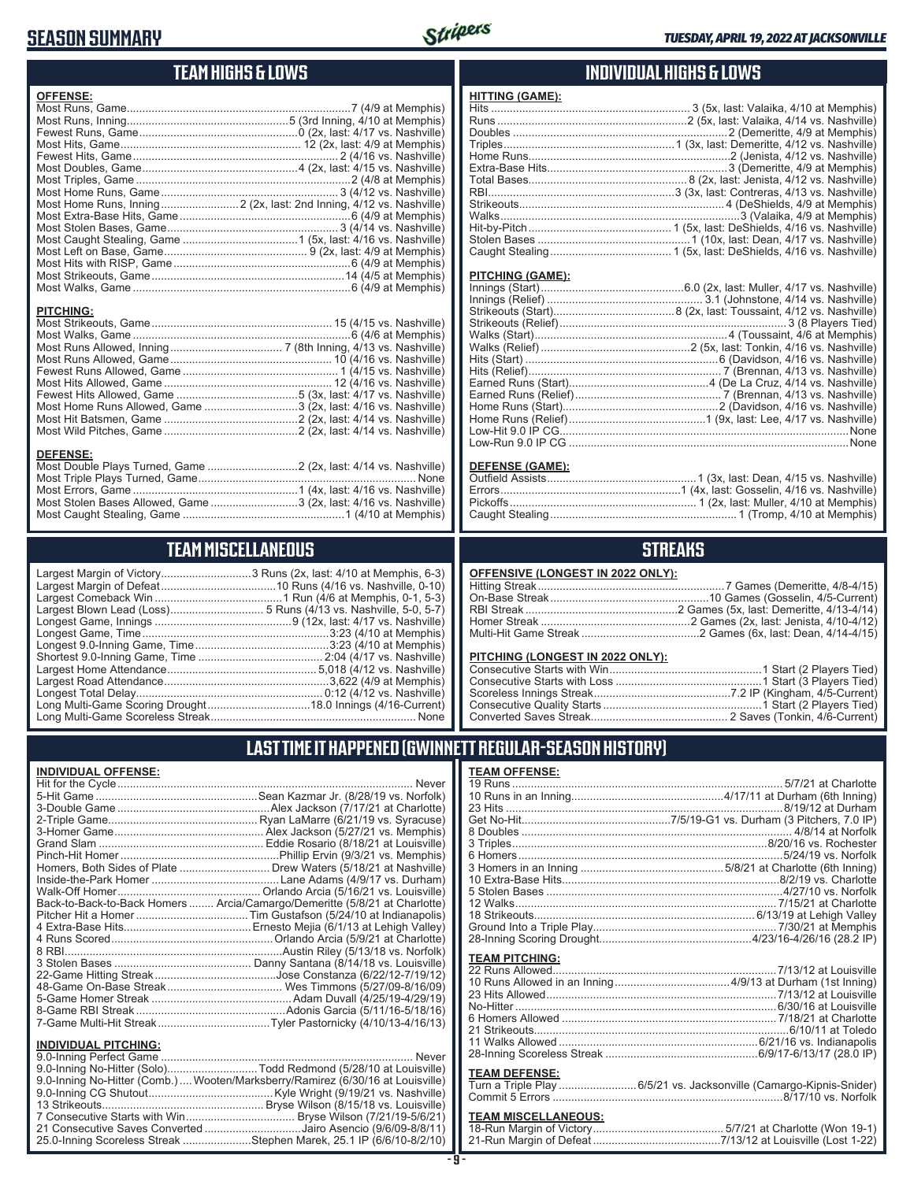### **SEASON SUMMARY**



## **TEAM HIGHS & LOWS**

| <b>OFFENSE:</b>                                                  |
|------------------------------------------------------------------|
|                                                                  |
|                                                                  |
|                                                                  |
|                                                                  |
|                                                                  |
|                                                                  |
|                                                                  |
|                                                                  |
|                                                                  |
|                                                                  |
|                                                                  |
|                                                                  |
|                                                                  |
|                                                                  |
|                                                                  |
|                                                                  |
|                                                                  |
|                                                                  |
|                                                                  |
| <b>PITCHING:</b>                                                 |
|                                                                  |
|                                                                  |
|                                                                  |
|                                                                  |
|                                                                  |
|                                                                  |
|                                                                  |
| Most Home Runs Allowed, Game 3 (2x, last: 4/16 vs. Nashville)    |
|                                                                  |
|                                                                  |
|                                                                  |
| <b>DEFENSE:</b>                                                  |
| Most Double Plays Turned, Game  2 (2x, last: 4/14 vs. Nashville) |
|                                                                  |
|                                                                  |
| Most Stolen Bases Allowed, Game 3 (2x, last: 4/16 vs. Nashville) |

### **TEAM MISCELLANEOUS**

| Largest Margin of Victory3 Runs (2x, last: 4/10 at Memphis, 6-3) |
|------------------------------------------------------------------|
|                                                                  |
|                                                                  |
|                                                                  |
|                                                                  |
|                                                                  |
|                                                                  |
|                                                                  |
|                                                                  |
|                                                                  |
|                                                                  |
|                                                                  |
|                                                                  |

### $Nashville$  $\operatorname{at}$  Memphis $\operatorname{\acute{a}}$ t Memphis) . Nashville) Nashville)  $16$ -Current) ......... None

### **INDIVIDUAL HIGHS & LOWS**

| <b>HITTING (GAME):</b> |  |
|------------------------|--|
|                        |  |
|                        |  |
|                        |  |
|                        |  |
|                        |  |
|                        |  |
|                        |  |
|                        |  |
|                        |  |
|                        |  |
|                        |  |
|                        |  |
|                        |  |

#### **PITCHING (GAME):**

#### **DEFENSE (GAME):**

### **STREAKS**

| OFFENSIVE (LONGEST IN 2022 ONLY): |  |  |
|-----------------------------------|--|--|
|-----------------------------------|--|--|

#### **PITCHING (LONGEST IN 2022 ONLY):**

### **LAST TIME IT HAPPENED (GWINNETT REGULAR-SEASON HISTORY)**

#### **INDIVIDUAL OFFENSE:**

|                                                               | Homers, Both Sides of Plate ………………………… Drew Waters (5/18/21 at Nashville)  |
|---------------------------------------------------------------|----------------------------------------------------------------------------|
|                                                               |                                                                            |
|                                                               |                                                                            |
|                                                               | Back-to-Back-to-Back Homers  Arcia/Camargo/Demeritte (5/8/21 at Charlotte) |
|                                                               |                                                                            |
|                                                               |                                                                            |
|                                                               |                                                                            |
|                                                               |                                                                            |
|                                                               |                                                                            |
|                                                               |                                                                            |
|                                                               |                                                                            |
|                                                               |                                                                            |
|                                                               |                                                                            |
|                                                               |                                                                            |
|                                                               |                                                                            |
| <b>INDIVIDUAL PITCHING:</b><br><b>Q O-Inning Perfect Came</b> | Never                                                                      |
|                                                               |                                                                            |

|  | 9.0-Inning No-Hitter (Solo)Todd Redmond (5/28/10 at Louisville)                 |
|--|---------------------------------------------------------------------------------|
|  | 9.0-Inning No-Hitter (Comb.)  Wooten/Marksberry/Ramirez (6/30/16 at Louisville) |
|  |                                                                                 |
|  |                                                                                 |
|  |                                                                                 |
|  | 21 Consecutive Saves Converted Jairo Asencio (9/6/09-8/8/11)                    |
|  | 25.0-Inning Scoreless Streak Stephen Marek, 25.1 IP (6/6/10-8/2/10)             |
|  |                                                                                 |

#### **TEAM OFFENSE:**

| <b>TEAM MISCELLANEOUS:</b> |  |
|----------------------------|--|
|                            |  |
|                            |  |